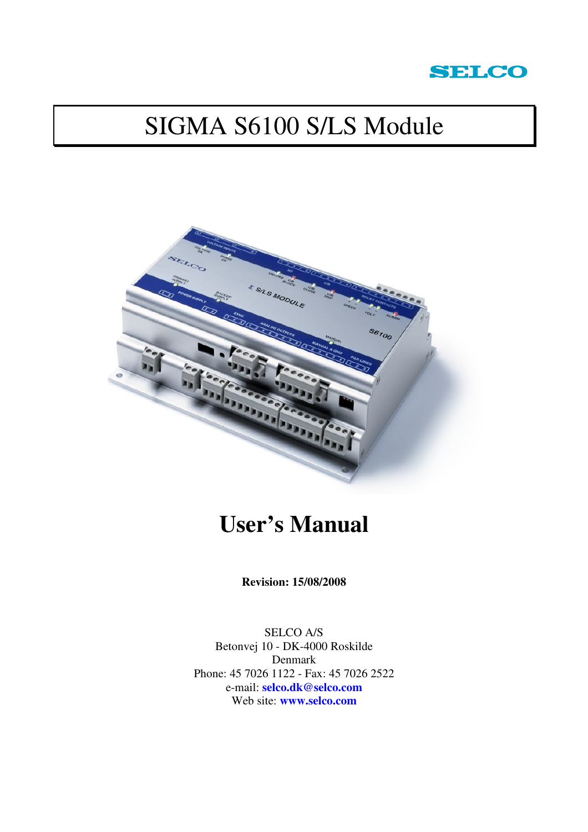

# SIGMA S6100 S/LS Module



# **User's Manual**

**Revision: 15/08/2008** 

SELCO A/S Betonvej 10 - DK-4000 Roskilde Denmark Phone: 45 7026 1122 - Fax: 45 7026 2522 e-mail: **selco.dk@selco.com** Web site: **www.selco.com**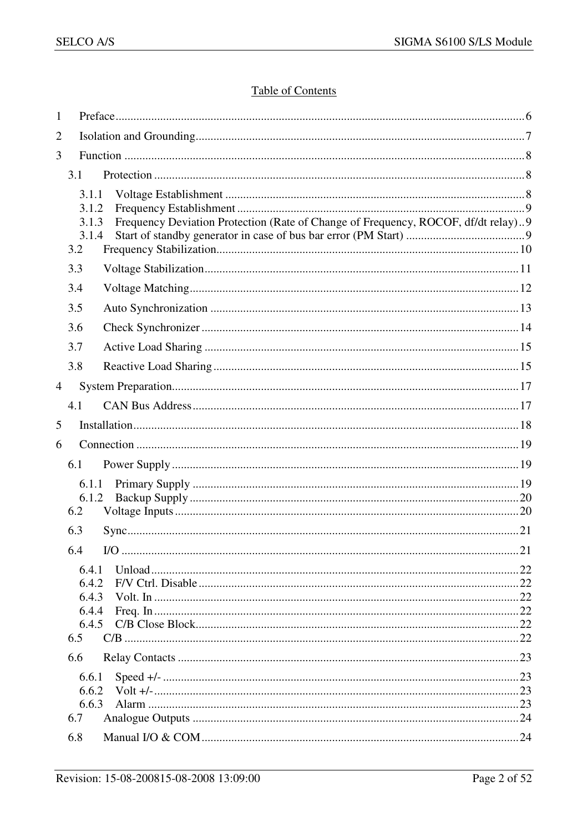## **Table of Contents**

| 1              |                                         |                                                                                   |  |
|----------------|-----------------------------------------|-----------------------------------------------------------------------------------|--|
| $\overline{2}$ |                                         |                                                                                   |  |
| 3              |                                         |                                                                                   |  |
|                | 3.1                                     |                                                                                   |  |
|                | 3.1.1<br>3.1.2<br>3.1.3<br>3.1.4<br>3.2 | Frequency Deviation Protection (Rate of Change of Frequency, ROCOF, df/dt relay)9 |  |
|                | 3.3                                     |                                                                                   |  |
|                | 3.4                                     |                                                                                   |  |
|                | 3.5                                     |                                                                                   |  |
|                | 3.6                                     |                                                                                   |  |
|                | 3.7                                     |                                                                                   |  |
|                | 3.8                                     |                                                                                   |  |
| $\overline{4}$ |                                         |                                                                                   |  |
|                | 4.1                                     |                                                                                   |  |
| 5              |                                         |                                                                                   |  |
| 6              |                                         |                                                                                   |  |
|                | 6.1                                     |                                                                                   |  |
|                | 6.1.1                                   |                                                                                   |  |
|                | 6.1.2<br>6.2                            |                                                                                   |  |
|                | 6.3                                     |                                                                                   |  |
|                | 6.4                                     | $UO$                                                                              |  |
|                | 6.4.1                                   |                                                                                   |  |
|                | 6.4.2                                   |                                                                                   |  |
|                | 6.4.3<br>6.4.4                          |                                                                                   |  |
|                | 6.4.5                                   |                                                                                   |  |
|                | 6.5                                     |                                                                                   |  |
|                | 6.6                                     |                                                                                   |  |
|                | 6.6.1                                   |                                                                                   |  |
|                | 6.6.2                                   |                                                                                   |  |
|                | 6.6.3<br>6.7                            |                                                                                   |  |
|                | 6.8                                     |                                                                                   |  |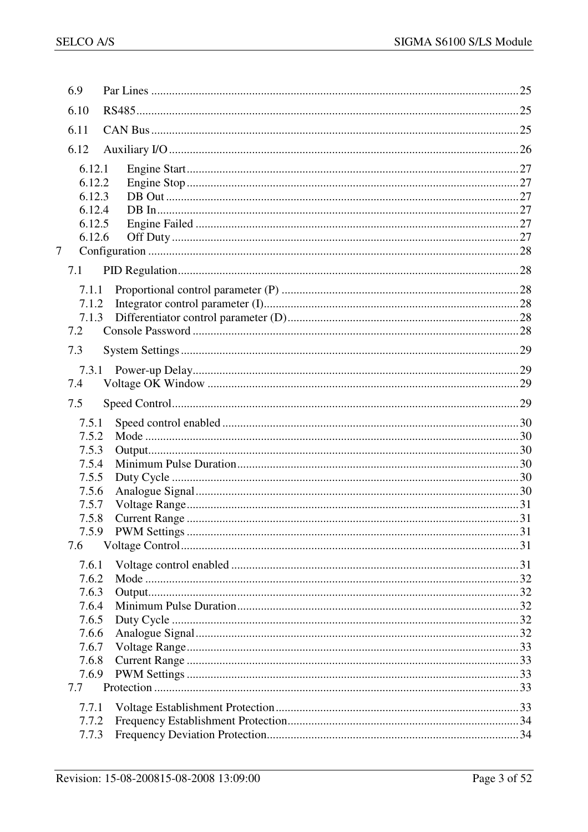| 6.9    |  |
|--------|--|
| 6.10   |  |
| 6.11   |  |
| 6.12   |  |
| 6.12.1 |  |
| 6.12.2 |  |
| 6.12.3 |  |
| 6.12.4 |  |
| 6.12.5 |  |
| 6.12.6 |  |
| $\tau$ |  |
| 7.1    |  |
| 7.1.1  |  |
| 7.1.2  |  |
| 7.1.3  |  |
| 7.2    |  |
| 7.3    |  |
| 7.3.1  |  |
| 7.4    |  |
| 7.5    |  |
| 7.5.1  |  |
| 7.5.2  |  |
| 7.5.3  |  |
| 7.5.4  |  |
| 7.5.5  |  |
| 7.5.6  |  |
| 7.5.7  |  |
| 7.5.8  |  |
|        |  |
| 7.6    |  |
| 7.6.1  |  |
| 7.6.2  |  |
| 7.6.3  |  |
| 7.6.4  |  |
| 7.6.5  |  |
| 7.6.6  |  |
| 7.6.7  |  |
| 7.6.8  |  |
| 7.6.9  |  |
| 7.7    |  |
|        |  |
| 7.7.1  |  |
| 7.7.2  |  |
| 7.7.3  |  |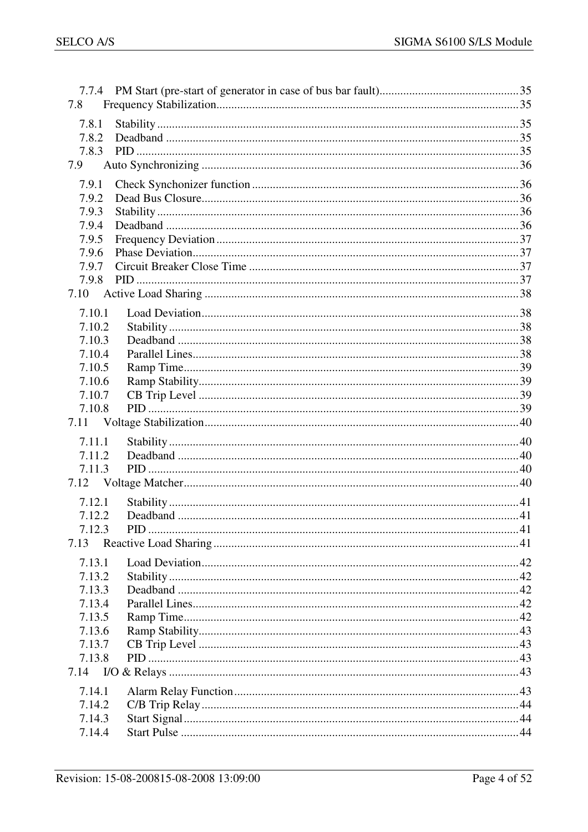| 7.8              |  |
|------------------|--|
| 7.8.1            |  |
| 7.8.2            |  |
| 7.8.3            |  |
| 7.9              |  |
| 7.9.1            |  |
| 7.9.2            |  |
| 7.9.3            |  |
| 7.9.4            |  |
| 7.9.5            |  |
| 7.9.6            |  |
| 7.9.7            |  |
| 7.9.8            |  |
| 7.10             |  |
| 7.10.1           |  |
| 7.10.2           |  |
| 7.10.3           |  |
| 7.10.4           |  |
| 7.10.5           |  |
| 7.10.6           |  |
| 7.10.7           |  |
| 7.10.8           |  |
| 7.11             |  |
| 7.11.1           |  |
| 7.11.2           |  |
| 7.11.3           |  |
|                  |  |
| 7.12.1           |  |
| 7.12.2           |  |
| 7.12.3           |  |
| 7.13             |  |
|                  |  |
| 7.13.1           |  |
| 7.13.2           |  |
| 7.13.3<br>7.13.4 |  |
| 7.13.5           |  |
| 7.13.6           |  |
| 7.13.7           |  |
| 7.13.8           |  |
|                  |  |
|                  |  |
| 7.14.1           |  |
| 7.14.2<br>7.14.3 |  |
| 7.14.4           |  |
|                  |  |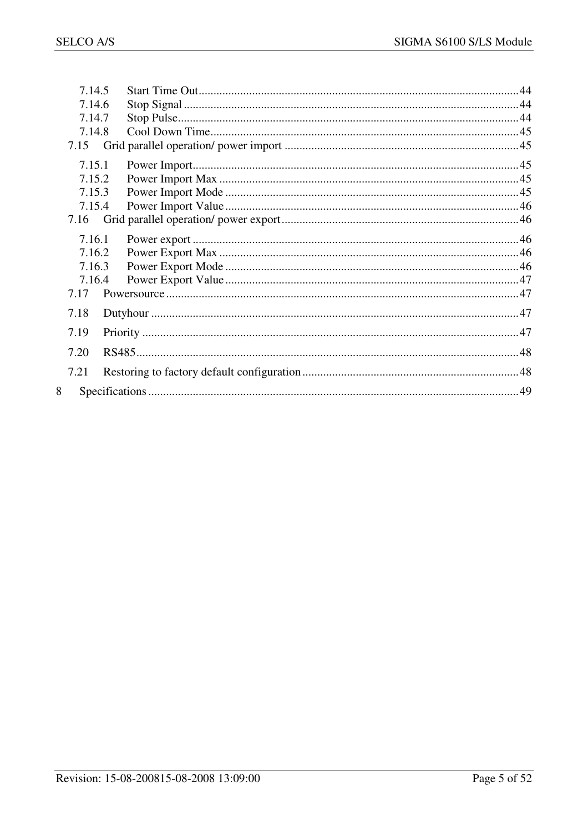| 7.14.5 |  |
|--------|--|
| 7.14.6 |  |
| 7.14.7 |  |
| 7.14.8 |  |
| 7.15   |  |
| 7.15.1 |  |
| 7.15.2 |  |
| 7.15.3 |  |
| 7.15.4 |  |
| 7.16   |  |
| 7.16.1 |  |
| 7.16.2 |  |
| 7.16.3 |  |
| 7.16.4 |  |
| 7.17   |  |
| 7.18   |  |
| 7.19   |  |
| 7.20   |  |
| 7.21   |  |
| 8      |  |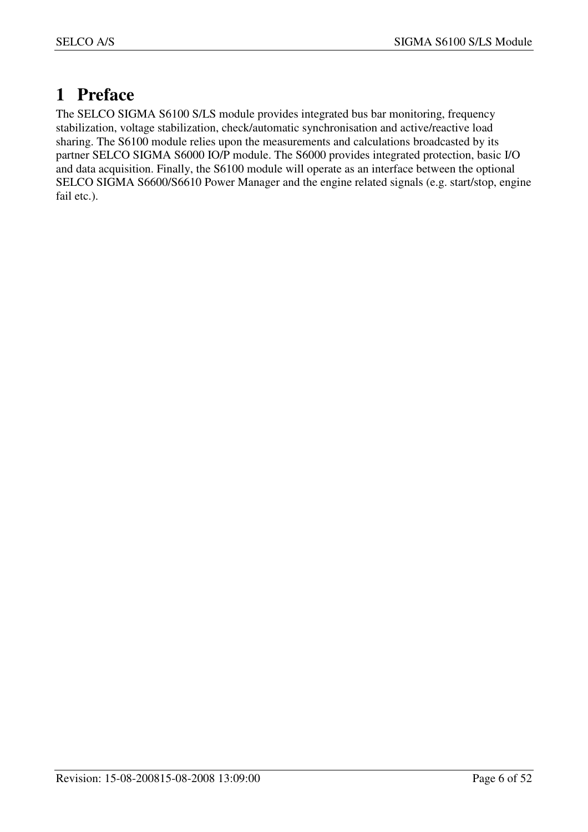## **1 Preface**

The SELCO SIGMA S6100 S/LS module provides integrated bus bar monitoring, frequency stabilization, voltage stabilization, check/automatic synchronisation and active/reactive load sharing. The S6100 module relies upon the measurements and calculations broadcasted by its partner SELCO SIGMA S6000 IO/P module. The S6000 provides integrated protection, basic I/O and data acquisition. Finally, the S6100 module will operate as an interface between the optional SELCO SIGMA S6600/S6610 Power Manager and the engine related signals (e.g. start/stop, engine fail etc.).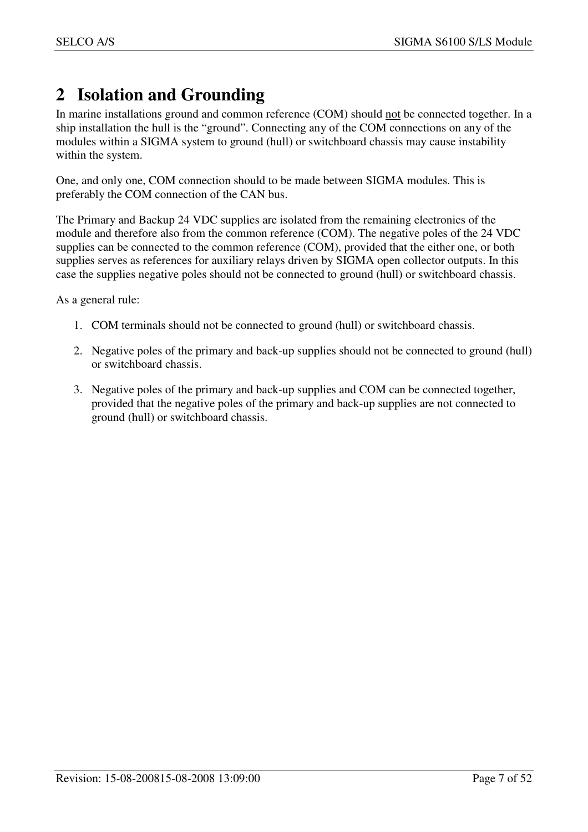## **2 Isolation and Grounding**

In marine installations ground and common reference (COM) should not be connected together. In a ship installation the hull is the "ground". Connecting any of the COM connections on any of the modules within a SIGMA system to ground (hull) or switchboard chassis may cause instability within the system.

One, and only one, COM connection should to be made between SIGMA modules. This is preferably the COM connection of the CAN bus.

The Primary and Backup 24 VDC supplies are isolated from the remaining electronics of the module and therefore also from the common reference (COM). The negative poles of the 24 VDC supplies can be connected to the common reference (COM), provided that the either one, or both supplies serves as references for auxiliary relays driven by SIGMA open collector outputs. In this case the supplies negative poles should not be connected to ground (hull) or switchboard chassis.

As a general rule:

- 1. COM terminals should not be connected to ground (hull) or switchboard chassis.
- 2. Negative poles of the primary and back-up supplies should not be connected to ground (hull) or switchboard chassis.
- 3. Negative poles of the primary and back-up supplies and COM can be connected together, provided that the negative poles of the primary and back-up supplies are not connected to ground (hull) or switchboard chassis.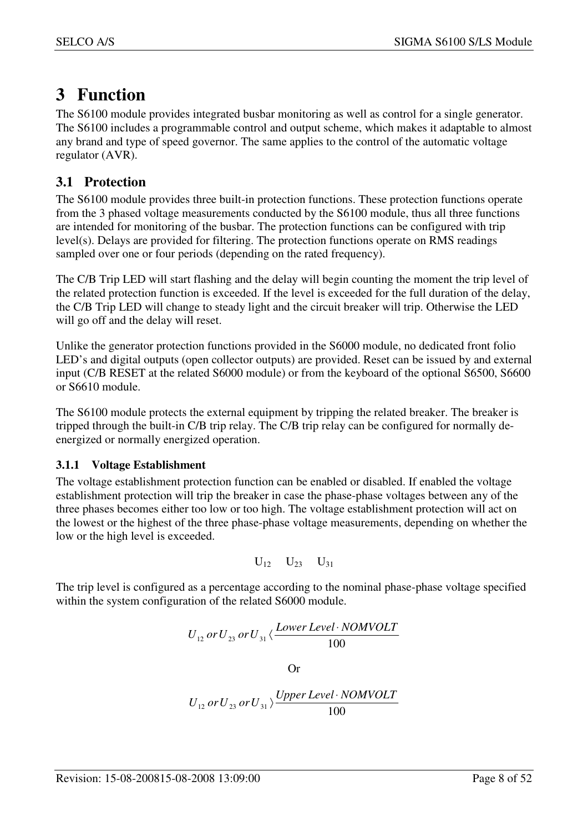## **3 Function**

The S6100 module provides integrated busbar monitoring as well as control for a single generator. The S6100 includes a programmable control and output scheme, which makes it adaptable to almost any brand and type of speed governor. The same applies to the control of the automatic voltage regulator (AVR).

## **3.1 Protection**

The S6100 module provides three built-in protection functions. These protection functions operate from the 3 phased voltage measurements conducted by the S6100 module, thus all three functions are intended for monitoring of the busbar. The protection functions can be configured with trip level(s). Delays are provided for filtering. The protection functions operate on RMS readings sampled over one or four periods (depending on the rated frequency).

The C/B Trip LED will start flashing and the delay will begin counting the moment the trip level of the related protection function is exceeded. If the level is exceeded for the full duration of the delay, the C/B Trip LED will change to steady light and the circuit breaker will trip. Otherwise the LED will go off and the delay will reset.

Unlike the generator protection functions provided in the S6000 module, no dedicated front folio LED's and digital outputs (open collector outputs) are provided. Reset can be issued by and external input (C/B RESET at the related S6000 module) or from the keyboard of the optional S6500, S6600 or S6610 module.

The S6100 module protects the external equipment by tripping the related breaker. The breaker is tripped through the built-in C/B trip relay. The C/B trip relay can be configured for normally deenergized or normally energized operation.

## **3.1.1 Voltage Establishment**

The voltage establishment protection function can be enabled or disabled. If enabled the voltage establishment protection will trip the breaker in case the phase-phase voltages between any of the three phases becomes either too low or too high. The voltage establishment protection will act on the lowest or the highest of the three phase-phase voltage measurements, depending on whether the low or the high level is exceeded.

$$
U_{12}\hspace{0.1cm}U_{23}\hspace{0.1cm}U_{31}
$$

The trip level is configured as a percentage according to the nominal phase-phase voltage specified within the system configuration of the related S6000 module.

$$
U_{12} \, or \, U_{23} \, or \, U_{31} \langle \frac{Lower Level \cdot NOMVOLT}{100}
$$

Or

$$
U_{12} \, or \, U_{23} \, or \, U_{31} \rangle \frac{Upper \, Level \cdot NOMVOLT}{100}
$$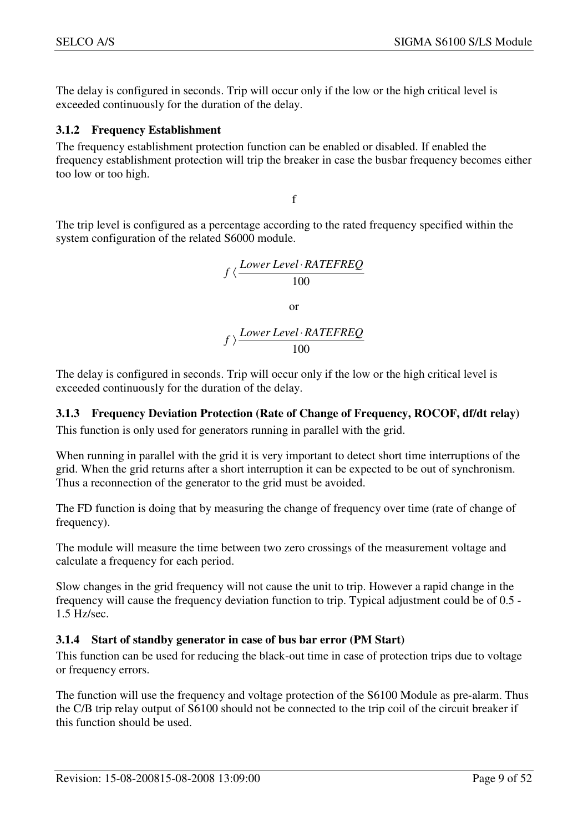The delay is configured in seconds. Trip will occur only if the low or the high critical level is exceeded continuously for the duration of the delay.

#### **3.1.2 Frequency Establishment**

The frequency establishment protection function can be enabled or disabled. If enabled the frequency establishment protection will trip the breaker in case the busbar frequency becomes either too low or too high.

f

The trip level is configured as a percentage according to the rated frequency specified within the system configuration of the related S6000 module.

$$
f \langle \frac{Lower Level \cdot RATEREQ}{100}
$$

or

100 *Lower Level RATEFREQ <sup>f</sup>* ⋅ 〉

The delay is configured in seconds. Trip will occur only if the low or the high critical level is exceeded continuously for the duration of the delay.

## **3.1.3 Frequency Deviation Protection (Rate of Change of Frequency, ROCOF, df/dt relay)**

This function is only used for generators running in parallel with the grid.

When running in parallel with the grid it is very important to detect short time interruptions of the grid. When the grid returns after a short interruption it can be expected to be out of synchronism. Thus a reconnection of the generator to the grid must be avoided.

The FD function is doing that by measuring the change of frequency over time (rate of change of frequency).

The module will measure the time between two zero crossings of the measurement voltage and calculate a frequency for each period.

Slow changes in the grid frequency will not cause the unit to trip. However a rapid change in the frequency will cause the frequency deviation function to trip. Typical adjustment could be of 0.5 - 1.5 Hz/sec.

## **3.1.4 Start of standby generator in case of bus bar error (PM Start)**

This function can be used for reducing the black-out time in case of protection trips due to voltage or frequency errors.

The function will use the frequency and voltage protection of the S6100 Module as pre-alarm. Thus the C/B trip relay output of S6100 should not be connected to the trip coil of the circuit breaker if this function should be used.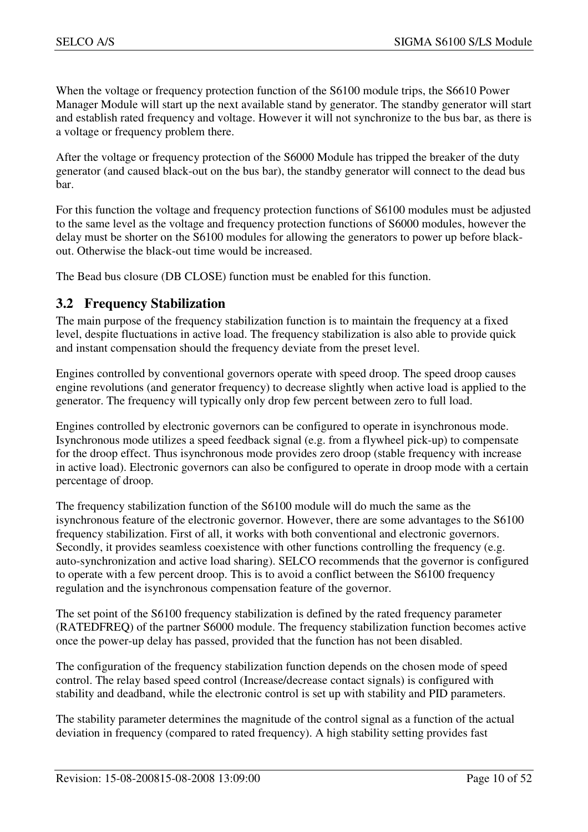When the voltage or frequency protection function of the S6100 module trips, the S6610 Power Manager Module will start up the next available stand by generator. The standby generator will start and establish rated frequency and voltage. However it will not synchronize to the bus bar, as there is a voltage or frequency problem there.

After the voltage or frequency protection of the S6000 Module has tripped the breaker of the duty generator (and caused black-out on the bus bar), the standby generator will connect to the dead bus bar.

For this function the voltage and frequency protection functions of S6100 modules must be adjusted to the same level as the voltage and frequency protection functions of S6000 modules, however the delay must be shorter on the S6100 modules for allowing the generators to power up before blackout. Otherwise the black-out time would be increased.

The Bead bus closure (DB CLOSE) function must be enabled for this function.

## **3.2 Frequency Stabilization**

The main purpose of the frequency stabilization function is to maintain the frequency at a fixed level, despite fluctuations in active load. The frequency stabilization is also able to provide quick and instant compensation should the frequency deviate from the preset level.

Engines controlled by conventional governors operate with speed droop. The speed droop causes engine revolutions (and generator frequency) to decrease slightly when active load is applied to the generator. The frequency will typically only drop few percent between zero to full load.

Engines controlled by electronic governors can be configured to operate in isynchronous mode. Isynchronous mode utilizes a speed feedback signal (e.g. from a flywheel pick-up) to compensate for the droop effect. Thus isynchronous mode provides zero droop (stable frequency with increase in active load). Electronic governors can also be configured to operate in droop mode with a certain percentage of droop.

The frequency stabilization function of the S6100 module will do much the same as the isynchronous feature of the electronic governor. However, there are some advantages to the S6100 frequency stabilization. First of all, it works with both conventional and electronic governors. Secondly, it provides seamless coexistence with other functions controlling the frequency (e.g. auto-synchronization and active load sharing). SELCO recommends that the governor is configured to operate with a few percent droop. This is to avoid a conflict between the S6100 frequency regulation and the isynchronous compensation feature of the governor.

The set point of the S6100 frequency stabilization is defined by the rated frequency parameter (RATEDFREQ) of the partner S6000 module. The frequency stabilization function becomes active once the power-up delay has passed, provided that the function has not been disabled.

The configuration of the frequency stabilization function depends on the chosen mode of speed control. The relay based speed control (Increase/decrease contact signals) is configured with stability and deadband, while the electronic control is set up with stability and PID parameters.

The stability parameter determines the magnitude of the control signal as a function of the actual deviation in frequency (compared to rated frequency). A high stability setting provides fast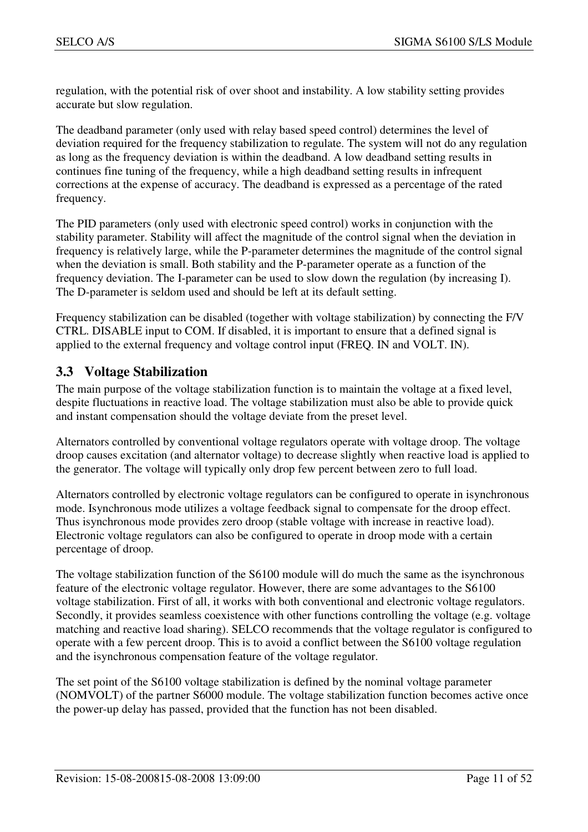regulation, with the potential risk of over shoot and instability. A low stability setting provides accurate but slow regulation.

The deadband parameter (only used with relay based speed control) determines the level of deviation required for the frequency stabilization to regulate. The system will not do any regulation as long as the frequency deviation is within the deadband. A low deadband setting results in continues fine tuning of the frequency, while a high deadband setting results in infrequent corrections at the expense of accuracy. The deadband is expressed as a percentage of the rated frequency.

The PID parameters (only used with electronic speed control) works in conjunction with the stability parameter. Stability will affect the magnitude of the control signal when the deviation in frequency is relatively large, while the P-parameter determines the magnitude of the control signal when the deviation is small. Both stability and the P-parameter operate as a function of the frequency deviation. The I-parameter can be used to slow down the regulation (by increasing I). The D-parameter is seldom used and should be left at its default setting.

Frequency stabilization can be disabled (together with voltage stabilization) by connecting the F/V CTRL. DISABLE input to COM. If disabled, it is important to ensure that a defined signal is applied to the external frequency and voltage control input (FREQ. IN and VOLT. IN).

## **3.3 Voltage Stabilization**

The main purpose of the voltage stabilization function is to maintain the voltage at a fixed level, despite fluctuations in reactive load. The voltage stabilization must also be able to provide quick and instant compensation should the voltage deviate from the preset level.

Alternators controlled by conventional voltage regulators operate with voltage droop. The voltage droop causes excitation (and alternator voltage) to decrease slightly when reactive load is applied to the generator. The voltage will typically only drop few percent between zero to full load.

Alternators controlled by electronic voltage regulators can be configured to operate in isynchronous mode. Isynchronous mode utilizes a voltage feedback signal to compensate for the droop effect. Thus isynchronous mode provides zero droop (stable voltage with increase in reactive load). Electronic voltage regulators can also be configured to operate in droop mode with a certain percentage of droop.

The voltage stabilization function of the S6100 module will do much the same as the isynchronous feature of the electronic voltage regulator. However, there are some advantages to the S6100 voltage stabilization. First of all, it works with both conventional and electronic voltage regulators. Secondly, it provides seamless coexistence with other functions controlling the voltage (e.g. voltage matching and reactive load sharing). SELCO recommends that the voltage regulator is configured to operate with a few percent droop. This is to avoid a conflict between the S6100 voltage regulation and the isynchronous compensation feature of the voltage regulator.

The set point of the S6100 voltage stabilization is defined by the nominal voltage parameter (NOMVOLT) of the partner S6000 module. The voltage stabilization function becomes active once the power-up delay has passed, provided that the function has not been disabled.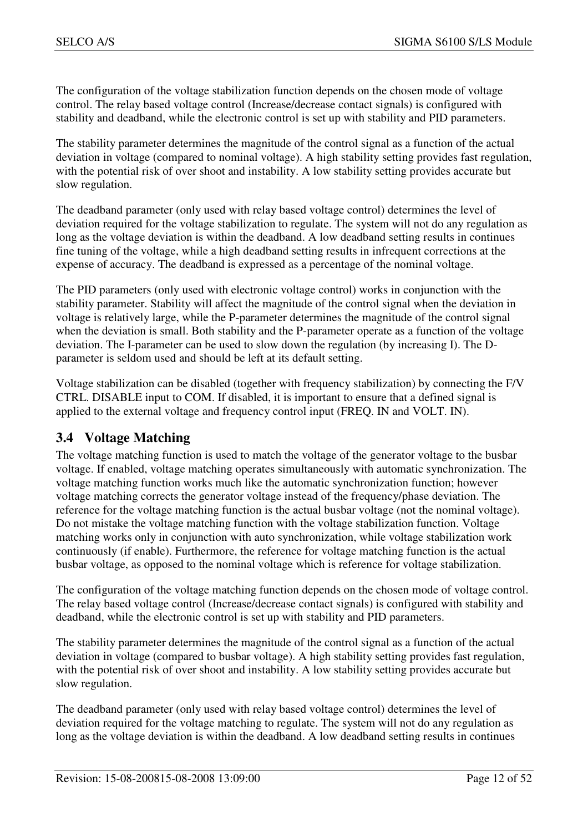The configuration of the voltage stabilization function depends on the chosen mode of voltage control. The relay based voltage control (Increase/decrease contact signals) is configured with stability and deadband, while the electronic control is set up with stability and PID parameters.

The stability parameter determines the magnitude of the control signal as a function of the actual deviation in voltage (compared to nominal voltage). A high stability setting provides fast regulation, with the potential risk of over shoot and instability. A low stability setting provides accurate but slow regulation.

The deadband parameter (only used with relay based voltage control) determines the level of deviation required for the voltage stabilization to regulate. The system will not do any regulation as long as the voltage deviation is within the deadband. A low deadband setting results in continues fine tuning of the voltage, while a high deadband setting results in infrequent corrections at the expense of accuracy. The deadband is expressed as a percentage of the nominal voltage.

The PID parameters (only used with electronic voltage control) works in conjunction with the stability parameter. Stability will affect the magnitude of the control signal when the deviation in voltage is relatively large, while the P-parameter determines the magnitude of the control signal when the deviation is small. Both stability and the P-parameter operate as a function of the voltage deviation. The I-parameter can be used to slow down the regulation (by increasing I). The Dparameter is seldom used and should be left at its default setting.

Voltage stabilization can be disabled (together with frequency stabilization) by connecting the F/V CTRL. DISABLE input to COM. If disabled, it is important to ensure that a defined signal is applied to the external voltage and frequency control input (FREQ. IN and VOLT. IN).

## **3.4 Voltage Matching**

The voltage matching function is used to match the voltage of the generator voltage to the busbar voltage. If enabled, voltage matching operates simultaneously with automatic synchronization. The voltage matching function works much like the automatic synchronization function; however voltage matching corrects the generator voltage instead of the frequency/phase deviation. The reference for the voltage matching function is the actual busbar voltage (not the nominal voltage). Do not mistake the voltage matching function with the voltage stabilization function. Voltage matching works only in conjunction with auto synchronization, while voltage stabilization work continuously (if enable). Furthermore, the reference for voltage matching function is the actual busbar voltage, as opposed to the nominal voltage which is reference for voltage stabilization.

The configuration of the voltage matching function depends on the chosen mode of voltage control. The relay based voltage control (Increase/decrease contact signals) is configured with stability and deadband, while the electronic control is set up with stability and PID parameters.

The stability parameter determines the magnitude of the control signal as a function of the actual deviation in voltage (compared to busbar voltage). A high stability setting provides fast regulation, with the potential risk of over shoot and instability. A low stability setting provides accurate but slow regulation.

The deadband parameter (only used with relay based voltage control) determines the level of deviation required for the voltage matching to regulate. The system will not do any regulation as long as the voltage deviation is within the deadband. A low deadband setting results in continues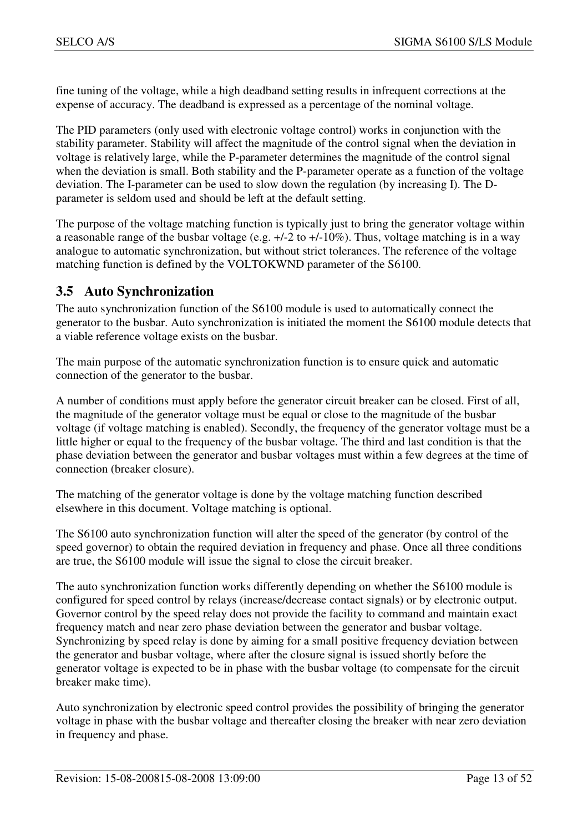fine tuning of the voltage, while a high deadband setting results in infrequent corrections at the expense of accuracy. The deadband is expressed as a percentage of the nominal voltage.

The PID parameters (only used with electronic voltage control) works in conjunction with the stability parameter. Stability will affect the magnitude of the control signal when the deviation in voltage is relatively large, while the P-parameter determines the magnitude of the control signal when the deviation is small. Both stability and the P-parameter operate as a function of the voltage deviation. The I-parameter can be used to slow down the regulation (by increasing I). The Dparameter is seldom used and should be left at the default setting.

The purpose of the voltage matching function is typically just to bring the generator voltage within a reasonable range of the busbar voltage (e.g.  $+/-2$  to  $+/-10\%$ ). Thus, voltage matching is in a way analogue to automatic synchronization, but without strict tolerances. The reference of the voltage matching function is defined by the VOLTOKWND parameter of the S6100.

## **3.5 Auto Synchronization**

The auto synchronization function of the S6100 module is used to automatically connect the generator to the busbar. Auto synchronization is initiated the moment the S6100 module detects that a viable reference voltage exists on the busbar.

The main purpose of the automatic synchronization function is to ensure quick and automatic connection of the generator to the busbar.

A number of conditions must apply before the generator circuit breaker can be closed. First of all, the magnitude of the generator voltage must be equal or close to the magnitude of the busbar voltage (if voltage matching is enabled). Secondly, the frequency of the generator voltage must be a little higher or equal to the frequency of the busbar voltage. The third and last condition is that the phase deviation between the generator and busbar voltages must within a few degrees at the time of connection (breaker closure).

The matching of the generator voltage is done by the voltage matching function described elsewhere in this document. Voltage matching is optional.

The S6100 auto synchronization function will alter the speed of the generator (by control of the speed governor) to obtain the required deviation in frequency and phase. Once all three conditions are true, the S6100 module will issue the signal to close the circuit breaker.

The auto synchronization function works differently depending on whether the S6100 module is configured for speed control by relays (increase/decrease contact signals) or by electronic output. Governor control by the speed relay does not provide the facility to command and maintain exact frequency match and near zero phase deviation between the generator and busbar voltage. Synchronizing by speed relay is done by aiming for a small positive frequency deviation between the generator and busbar voltage, where after the closure signal is issued shortly before the generator voltage is expected to be in phase with the busbar voltage (to compensate for the circuit breaker make time).

Auto synchronization by electronic speed control provides the possibility of bringing the generator voltage in phase with the busbar voltage and thereafter closing the breaker with near zero deviation in frequency and phase.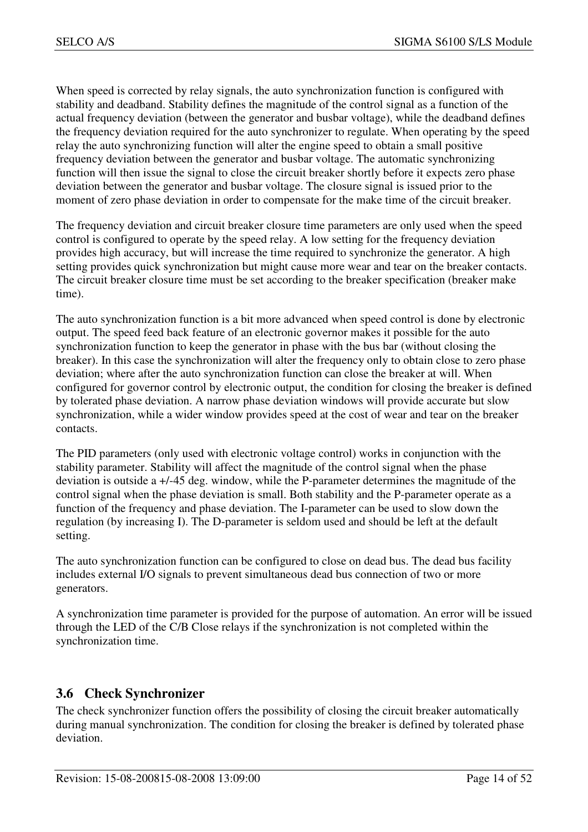When speed is corrected by relay signals, the auto synchronization function is configured with stability and deadband. Stability defines the magnitude of the control signal as a function of the actual frequency deviation (between the generator and busbar voltage), while the deadband defines the frequency deviation required for the auto synchronizer to regulate. When operating by the speed relay the auto synchronizing function will alter the engine speed to obtain a small positive frequency deviation between the generator and busbar voltage. The automatic synchronizing function will then issue the signal to close the circuit breaker shortly before it expects zero phase deviation between the generator and busbar voltage. The closure signal is issued prior to the moment of zero phase deviation in order to compensate for the make time of the circuit breaker.

The frequency deviation and circuit breaker closure time parameters are only used when the speed control is configured to operate by the speed relay. A low setting for the frequency deviation provides high accuracy, but will increase the time required to synchronize the generator. A high setting provides quick synchronization but might cause more wear and tear on the breaker contacts. The circuit breaker closure time must be set according to the breaker specification (breaker make time).

The auto synchronization function is a bit more advanced when speed control is done by electronic output. The speed feed back feature of an electronic governor makes it possible for the auto synchronization function to keep the generator in phase with the bus bar (without closing the breaker). In this case the synchronization will alter the frequency only to obtain close to zero phase deviation; where after the auto synchronization function can close the breaker at will. When configured for governor control by electronic output, the condition for closing the breaker is defined by tolerated phase deviation. A narrow phase deviation windows will provide accurate but slow synchronization, while a wider window provides speed at the cost of wear and tear on the breaker contacts.

The PID parameters (only used with electronic voltage control) works in conjunction with the stability parameter. Stability will affect the magnitude of the control signal when the phase deviation is outside a +/-45 deg. window, while the P-parameter determines the magnitude of the control signal when the phase deviation is small. Both stability and the P-parameter operate as a function of the frequency and phase deviation. The I-parameter can be used to slow down the regulation (by increasing I). The D-parameter is seldom used and should be left at the default setting.

The auto synchronization function can be configured to close on dead bus. The dead bus facility includes external I/O signals to prevent simultaneous dead bus connection of two or more generators.

A synchronization time parameter is provided for the purpose of automation. An error will be issued through the LED of the C/B Close relays if the synchronization is not completed within the synchronization time.

## **3.6 Check Synchronizer**

The check synchronizer function offers the possibility of closing the circuit breaker automatically during manual synchronization. The condition for closing the breaker is defined by tolerated phase deviation.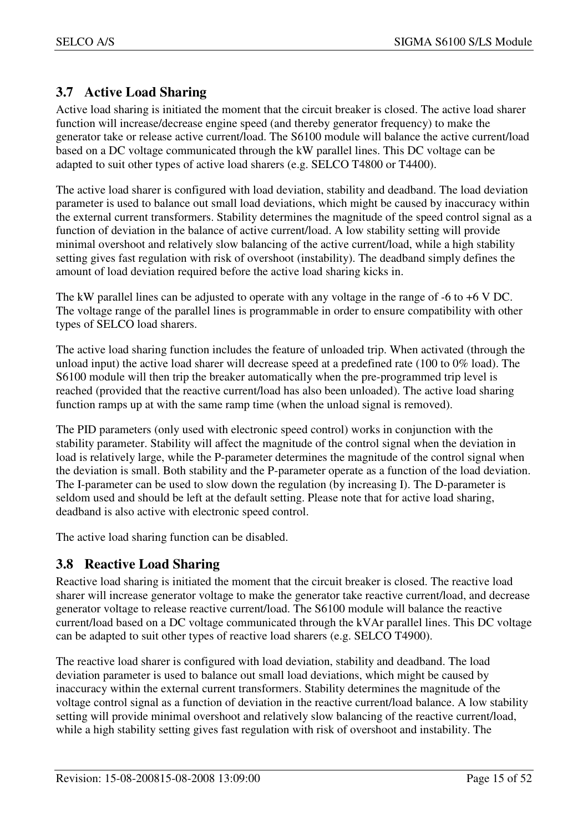## **3.7 Active Load Sharing**

Active load sharing is initiated the moment that the circuit breaker is closed. The active load sharer function will increase/decrease engine speed (and thereby generator frequency) to make the generator take or release active current/load. The S6100 module will balance the active current/load based on a DC voltage communicated through the kW parallel lines. This DC voltage can be adapted to suit other types of active load sharers (e.g. SELCO T4800 or T4400).

The active load sharer is configured with load deviation, stability and deadband. The load deviation parameter is used to balance out small load deviations, which might be caused by inaccuracy within the external current transformers. Stability determines the magnitude of the speed control signal as a function of deviation in the balance of active current/load. A low stability setting will provide minimal overshoot and relatively slow balancing of the active current/load, while a high stability setting gives fast regulation with risk of overshoot (instability). The deadband simply defines the amount of load deviation required before the active load sharing kicks in.

The kW parallel lines can be adjusted to operate with any voltage in the range of -6 to +6 V DC. The voltage range of the parallel lines is programmable in order to ensure compatibility with other types of SELCO load sharers.

The active load sharing function includes the feature of unloaded trip. When activated (through the unload input) the active load sharer will decrease speed at a predefined rate (100 to 0% load). The S6100 module will then trip the breaker automatically when the pre-programmed trip level is reached (provided that the reactive current/load has also been unloaded). The active load sharing function ramps up at with the same ramp time (when the unload signal is removed).

The PID parameters (only used with electronic speed control) works in conjunction with the stability parameter. Stability will affect the magnitude of the control signal when the deviation in load is relatively large, while the P-parameter determines the magnitude of the control signal when the deviation is small. Both stability and the P-parameter operate as a function of the load deviation. The I-parameter can be used to slow down the regulation (by increasing I). The D-parameter is seldom used and should be left at the default setting. Please note that for active load sharing, deadband is also active with electronic speed control.

The active load sharing function can be disabled.

## **3.8 Reactive Load Sharing**

Reactive load sharing is initiated the moment that the circuit breaker is closed. The reactive load sharer will increase generator voltage to make the generator take reactive current/load, and decrease generator voltage to release reactive current/load. The S6100 module will balance the reactive current/load based on a DC voltage communicated through the kVAr parallel lines. This DC voltage can be adapted to suit other types of reactive load sharers (e.g. SELCO T4900).

The reactive load sharer is configured with load deviation, stability and deadband. The load deviation parameter is used to balance out small load deviations, which might be caused by inaccuracy within the external current transformers. Stability determines the magnitude of the voltage control signal as a function of deviation in the reactive current/load balance. A low stability setting will provide minimal overshoot and relatively slow balancing of the reactive current/load, while a high stability setting gives fast regulation with risk of overshoot and instability. The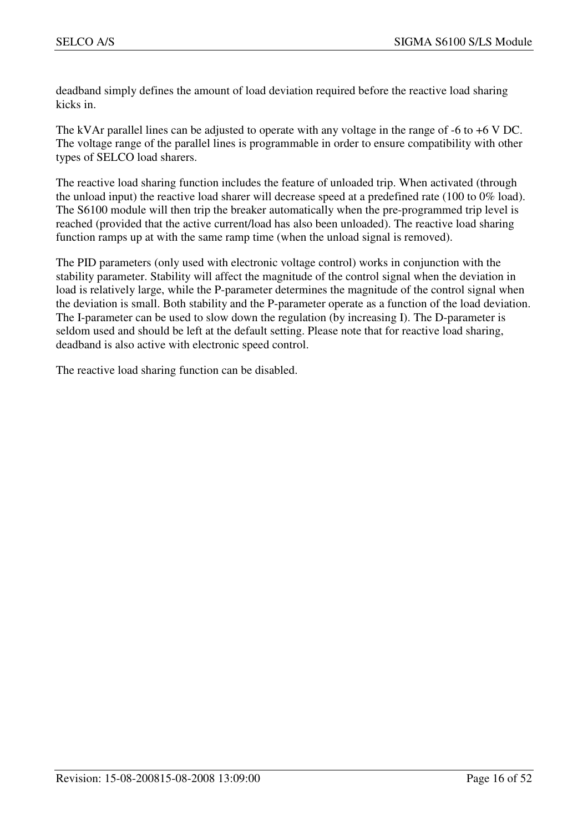deadband simply defines the amount of load deviation required before the reactive load sharing kicks in.

The kVAr parallel lines can be adjusted to operate with any voltage in the range of -6 to +6 V DC. The voltage range of the parallel lines is programmable in order to ensure compatibility with other types of SELCO load sharers.

The reactive load sharing function includes the feature of unloaded trip. When activated (through the unload input) the reactive load sharer will decrease speed at a predefined rate (100 to 0% load). The S6100 module will then trip the breaker automatically when the pre-programmed trip level is reached (provided that the active current/load has also been unloaded). The reactive load sharing function ramps up at with the same ramp time (when the unload signal is removed).

The PID parameters (only used with electronic voltage control) works in conjunction with the stability parameter. Stability will affect the magnitude of the control signal when the deviation in load is relatively large, while the P-parameter determines the magnitude of the control signal when the deviation is small. Both stability and the P-parameter operate as a function of the load deviation. The I-parameter can be used to slow down the regulation (by increasing I). The D-parameter is seldom used and should be left at the default setting. Please note that for reactive load sharing, deadband is also active with electronic speed control.

The reactive load sharing function can be disabled.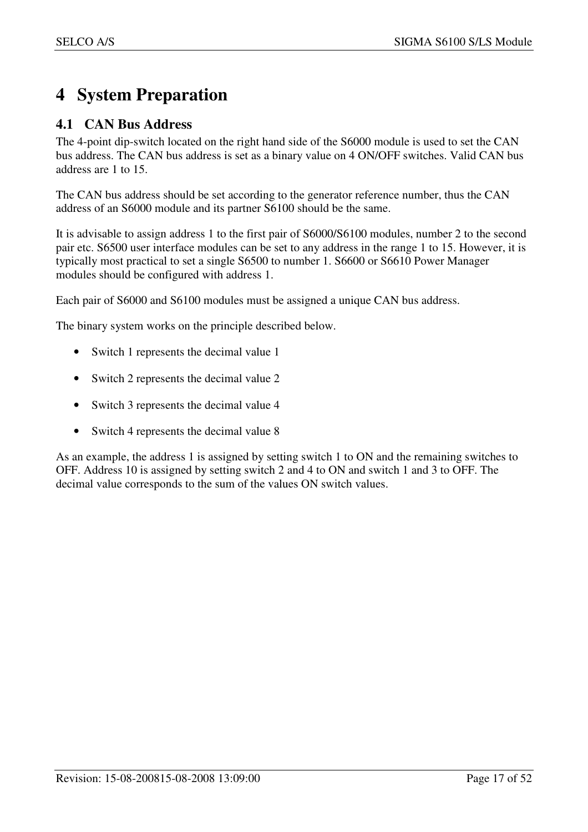## **4 System Preparation**

## **4.1 CAN Bus Address**

The 4-point dip-switch located on the right hand side of the S6000 module is used to set the CAN bus address. The CAN bus address is set as a binary value on 4 ON/OFF switches. Valid CAN bus address are 1 to 15.

The CAN bus address should be set according to the generator reference number, thus the CAN address of an S6000 module and its partner S6100 should be the same.

It is advisable to assign address 1 to the first pair of S6000/S6100 modules, number 2 to the second pair etc. S6500 user interface modules can be set to any address in the range 1 to 15. However, it is typically most practical to set a single S6500 to number 1. S6600 or S6610 Power Manager modules should be configured with address 1.

Each pair of S6000 and S6100 modules must be assigned a unique CAN bus address.

The binary system works on the principle described below.

- Switch 1 represents the decimal value 1
- Switch 2 represents the decimal value 2
- Switch 3 represents the decimal value 4
- Switch 4 represents the decimal value 8

As an example, the address 1 is assigned by setting switch 1 to ON and the remaining switches to OFF. Address 10 is assigned by setting switch 2 and 4 to ON and switch 1 and 3 to OFF. The decimal value corresponds to the sum of the values ON switch values.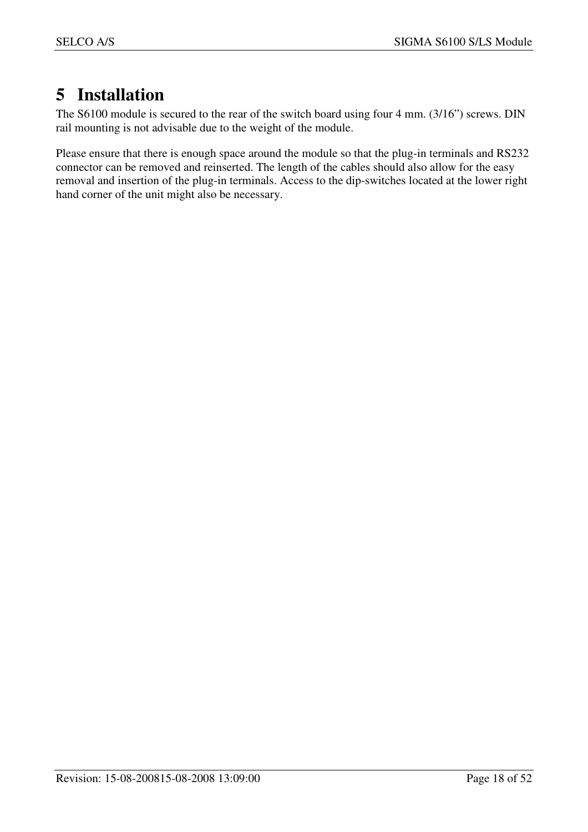## **5 Installation**

The S6100 module is secured to the rear of the switch board using four 4 mm. (3/16") screws. DIN rail mounting is not advisable due to the weight of the module.

Please ensure that there is enough space around the module so that the plug-in terminals and RS232 connector can be removed and reinserted. The length of the cables should also allow for the easy removal and insertion of the plug-in terminals. Access to the dip-switches located at the lower right hand corner of the unit might also be necessary.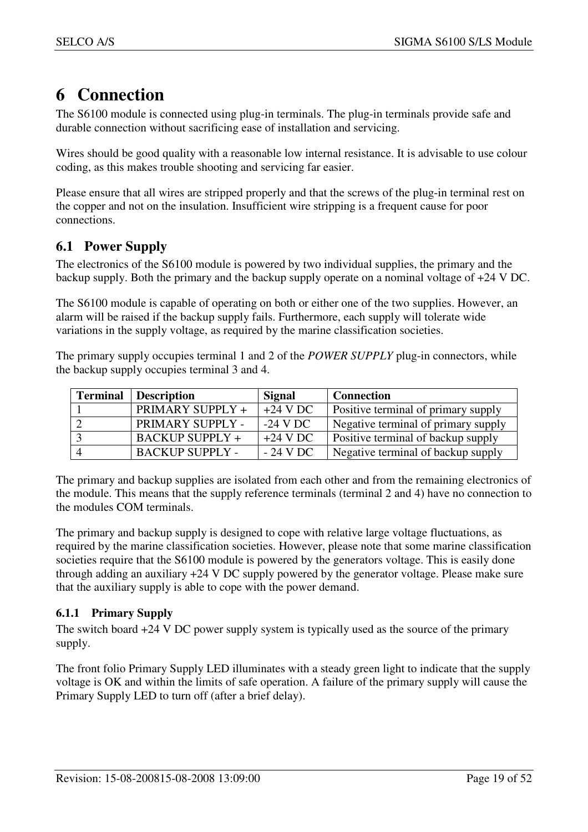## **6 Connection**

The S6100 module is connected using plug-in terminals. The plug-in terminals provide safe and durable connection without sacrificing ease of installation and servicing.

Wires should be good quality with a reasonable low internal resistance. It is advisable to use colour coding, as this makes trouble shooting and servicing far easier.

Please ensure that all wires are stripped properly and that the screws of the plug-in terminal rest on the copper and not on the insulation. Insufficient wire stripping is a frequent cause for poor connections.

## **6.1 Power Supply**

The electronics of the S6100 module is powered by two individual supplies, the primary and the backup supply. Both the primary and the backup supply operate on a nominal voltage of +24 V DC.

The S6100 module is capable of operating on both or either one of the two supplies. However, an alarm will be raised if the backup supply fails. Furthermore, each supply will tolerate wide variations in the supply voltage, as required by the marine classification societies.

The primary supply occupies terminal 1 and 2 of the *POWER SUPPLY* plug-in connectors, while the backup supply occupies terminal 3 and 4.

| <b>Terminal</b> | <b>Description</b>     | Signal     | <b>Connection</b>                         |
|-----------------|------------------------|------------|-------------------------------------------|
|                 | PRIMARY SUPPLY +       | $+24$ V DC | Positive terminal of primary supply       |
|                 | PRIMARY SUPPLY -       | $-24$ V DC | Negative terminal of primary supply       |
|                 | <b>BACKUP SUPPLY +</b> | $+24$ V DC | <b>Positive terminal of backup supply</b> |
|                 | <b>BACKUP SUPPLY -</b> | $-24$ V DC | Negative terminal of backup supply        |

The primary and backup supplies are isolated from each other and from the remaining electronics of the module. This means that the supply reference terminals (terminal 2 and 4) have no connection to the modules COM terminals.

The primary and backup supply is designed to cope with relative large voltage fluctuations, as required by the marine classification societies. However, please note that some marine classification societies require that the S6100 module is powered by the generators voltage. This is easily done through adding an auxiliary +24 V DC supply powered by the generator voltage. Please make sure that the auxiliary supply is able to cope with the power demand.

## **6.1.1 Primary Supply**

The switch board +24 V DC power supply system is typically used as the source of the primary supply.

The front folio Primary Supply LED illuminates with a steady green light to indicate that the supply voltage is OK and within the limits of safe operation. A failure of the primary supply will cause the Primary Supply LED to turn off (after a brief delay).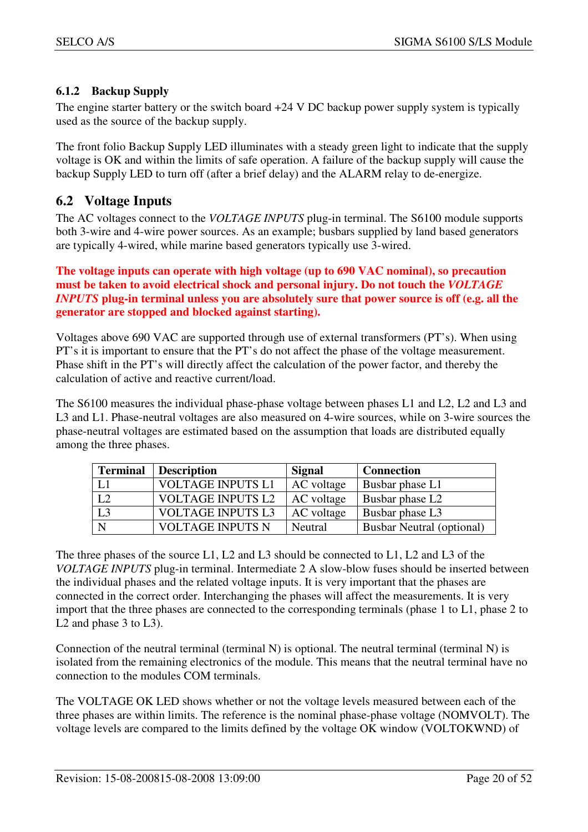## **6.1.2 Backup Supply**

The engine starter battery or the switch board  $+24$  V DC backup power supply system is typically used as the source of the backup supply.

The front folio Backup Supply LED illuminates with a steady green light to indicate that the supply voltage is OK and within the limits of safe operation. A failure of the backup supply will cause the backup Supply LED to turn off (after a brief delay) and the ALARM relay to de-energize.

## **6.2 Voltage Inputs**

The AC voltages connect to the *VOLTAGE INPUTS* plug-in terminal. The S6100 module supports both 3-wire and 4-wire power sources. As an example; busbars supplied by land based generators are typically 4-wired, while marine based generators typically use 3-wired.

**The voltage inputs can operate with high voltage (up to 690 VAC nominal), so precaution must be taken to avoid electrical shock and personal injury. Do not touch the** *VOLTAGE INPUTS* **plug-in terminal unless you are absolutely sure that power source is off (e.g. all the generator are stopped and blocked against starting).** 

Voltages above 690 VAC are supported through use of external transformers (PT's). When using PT's it is important to ensure that the PT's do not affect the phase of the voltage measurement. Phase shift in the PT's will directly affect the calculation of the power factor, and thereby the calculation of active and reactive current/load.

The S6100 measures the individual phase-phase voltage between phases L1 and L2, L2 and L3 and L3 and L1. Phase-neutral voltages are also measured on 4-wire sources, while on 3-wire sources the phase-neutral voltages are estimated based on the assumption that loads are distributed equally among the three phases.

| <b>Terminal</b> | <b>Description</b>       | Signal     | <b>Connection</b>                |
|-----------------|--------------------------|------------|----------------------------------|
| L1              | <b>VOLTAGE INPUTS L1</b> | AC voltage | Busbar phase L1                  |
| L2              | <b>VOLTAGE INPUTS L2</b> | AC voltage | Busbar phase L <sub>2</sub>      |
| L3              | <b>VOLTAGE INPUTS L3</b> | AC voltage | Busbar phase L3                  |
| N               | <b>VOLTAGE INPUTS N</b>  | Neutral    | <b>Busbar Neutral (optional)</b> |

The three phases of the source L1, L2 and L3 should be connected to L1, L2 and L3 of the *VOLTAGE INPUTS* plug-in terminal. Intermediate 2 A slow-blow fuses should be inserted between the individual phases and the related voltage inputs. It is very important that the phases are connected in the correct order. Interchanging the phases will affect the measurements. It is very import that the three phases are connected to the corresponding terminals (phase 1 to L1, phase 2 to L<sub>2</sub> and phase 3 to L<sub>3</sub>).

Connection of the neutral terminal (terminal N) is optional. The neutral terminal (terminal N) is isolated from the remaining electronics of the module. This means that the neutral terminal have no connection to the modules COM terminals.

The VOLTAGE OK LED shows whether or not the voltage levels measured between each of the three phases are within limits. The reference is the nominal phase-phase voltage (NOMVOLT). The voltage levels are compared to the limits defined by the voltage OK window (VOLTOKWND) of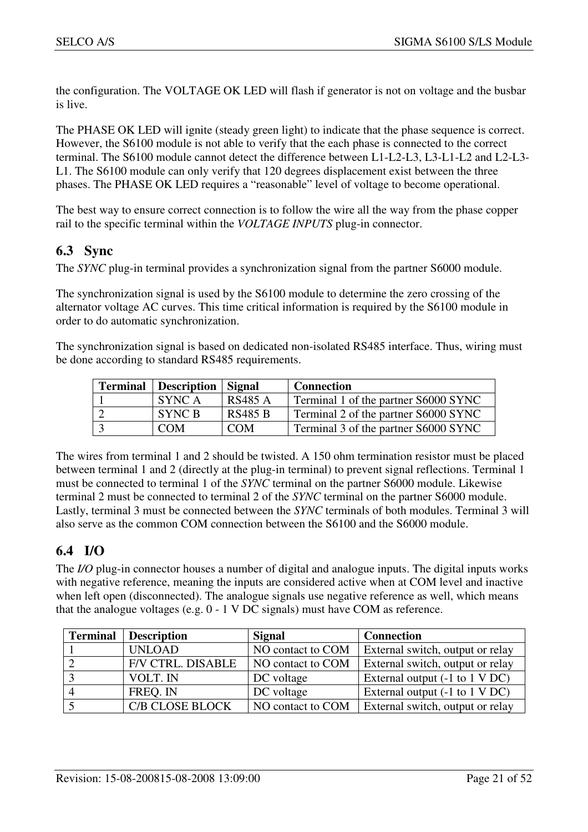the configuration. The VOLTAGE OK LED will flash if generator is not on voltage and the busbar is live.

The PHASE OK LED will ignite (steady green light) to indicate that the phase sequence is correct. However, the S6100 module is not able to verify that the each phase is connected to the correct terminal. The S6100 module cannot detect the difference between L1-L2-L3, L3-L1-L2 and L2-L3- L1. The S6100 module can only verify that 120 degrees displacement exist between the three phases. The PHASE OK LED requires a "reasonable" level of voltage to become operational.

The best way to ensure correct connection is to follow the wire all the way from the phase copper rail to the specific terminal within the *VOLTAGE INPUTS* plug-in connector.

## **6.3 Sync**

The *SYNC* plug-in terminal provides a synchronization signal from the partner S6000 module.

The synchronization signal is used by the S6100 module to determine the zero crossing of the alternator voltage AC curves. This time critical information is required by the S6100 module in order to do automatic synchronization.

The synchronization signal is based on dedicated non-isolated RS485 interface. Thus, wiring must be done according to standard RS485 requirements.

| <b>Terminal</b>   Description   Signal |                | <b>Connection</b>                    |
|----------------------------------------|----------------|--------------------------------------|
| SYNC A                                 | <b>RS485 A</b> | Terminal 1 of the partner S6000 SYNC |
| SYNC B                                 | <b>RS485 B</b> | Terminal 2 of the partner S6000 SYNC |
| <b>COM</b>                             | <b>COM</b>     | Terminal 3 of the partner S6000 SYNC |

The wires from terminal 1 and 2 should be twisted. A 150 ohm termination resistor must be placed between terminal 1 and 2 (directly at the plug-in terminal) to prevent signal reflections. Terminal 1 must be connected to terminal 1 of the *SYNC* terminal on the partner S6000 module. Likewise terminal 2 must be connected to terminal 2 of the *SYNC* terminal on the partner S6000 module. Lastly, terminal 3 must be connected between the *SYNC* terminals of both modules. Terminal 3 will also serve as the common COM connection between the S6100 and the S6000 module.

## **6.4 I/O**

The *I/O* plug-in connector houses a number of digital and analogue inputs. The digital inputs works with negative reference, meaning the inputs are considered active when at COM level and inactive when left open (disconnected). The analogue signals use negative reference as well, which means that the analogue voltages (e.g. 0 - 1 V DC signals) must have COM as reference.

| <b>Terminal</b> | <b>Description</b>       | <b>Signal</b>     | <b>Connection</b>                                 |
|-----------------|--------------------------|-------------------|---------------------------------------------------|
|                 | <b>UNLOAD</b>            | NO contact to COM | External switch, output or relay                  |
|                 | <b>F/V CTRL. DISABLE</b> | NO contact to COM | External switch, output or relay                  |
|                 | VOLT. IN                 | DC voltage        | External output $(-1 \text{ to } 1 \text{ V DC})$ |
|                 | FREQ. IN                 | DC voltage        | External output $(-1 \text{ to } 1 \text{ V DC})$ |
|                 | <b>C/B CLOSE BLOCK</b>   | NO contact to COM | External switch, output or relay                  |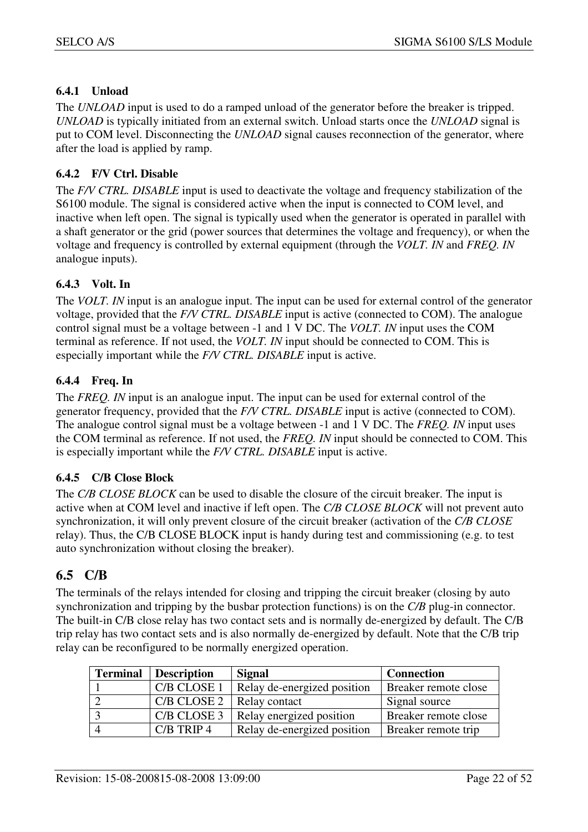### **6.4.1 Unload**

The *UNLOAD* input is used to do a ramped unload of the generator before the breaker is tripped. *UNLOAD* is typically initiated from an external switch. Unload starts once the *UNLOAD* signal is put to COM level. Disconnecting the *UNLOAD* signal causes reconnection of the generator, where after the load is applied by ramp.

#### **6.4.2 F/V Ctrl. Disable**

The *F/V CTRL. DISABLE* input is used to deactivate the voltage and frequency stabilization of the S6100 module. The signal is considered active when the input is connected to COM level, and inactive when left open. The signal is typically used when the generator is operated in parallel with a shaft generator or the grid (power sources that determines the voltage and frequency), or when the voltage and frequency is controlled by external equipment (through the *VOLT. IN* and *FREQ. IN* analogue inputs).

## **6.4.3 Volt. In**

The *VOLT. IN* input is an analogue input. The input can be used for external control of the generator voltage, provided that the *F/V CTRL. DISABLE* input is active (connected to COM). The analogue control signal must be a voltage between -1 and 1 V DC. The *VOLT. IN* input uses the COM terminal as reference. If not used, the *VOLT. IN* input should be connected to COM. This is especially important while the *F/V CTRL. DISABLE* input is active.

#### **6.4.4 Freq. In**

The *FREQ. IN* input is an analogue input. The input can be used for external control of the generator frequency, provided that the *F/V CTRL. DISABLE* input is active (connected to COM). The analogue control signal must be a voltage between -1 and 1 V DC. The *FREQ. IN* input uses the COM terminal as reference. If not used, the *FREQ. IN* input should be connected to COM. This is especially important while the *F/V CTRL. DISABLE* input is active.

#### **6.4.5 C/B Close Block**

The *C/B CLOSE BLOCK* can be used to disable the closure of the circuit breaker. The input is active when at COM level and inactive if left open. The *C/B CLOSE BLOCK* will not prevent auto synchronization, it will only prevent closure of the circuit breaker (activation of the *C/B CLOSE* relay). Thus, the C/B CLOSE BLOCK input is handy during test and commissioning (e.g. to test auto synchronization without closing the breaker).

## **6.5 C/B**

The terminals of the relays intended for closing and tripping the circuit breaker (closing by auto synchronization and tripping by the busbar protection functions) is on the *C/B* plug-in connector. The built-in C/B close relay has two contact sets and is normally de-energized by default. The C/B trip relay has two contact sets and is also normally de-energized by default. Note that the C/B trip relay can be reconfigured to be normally energized operation.

| <b>Terminal</b> | <b>Description</b> | Signal                      | <b>Connection</b>    |
|-----------------|--------------------|-----------------------------|----------------------|
|                 | C/B CLOSE 1        | Relay de-energized position | Breaker remote close |
|                 | C/B CLOSE 2        | Relay contact               | Signal source        |
|                 | C/B CLOSE 3        | Relay energized position    | Breaker remote close |
|                 | $C/B$ TRIP 4       | Relay de-energized position | Breaker remote trip  |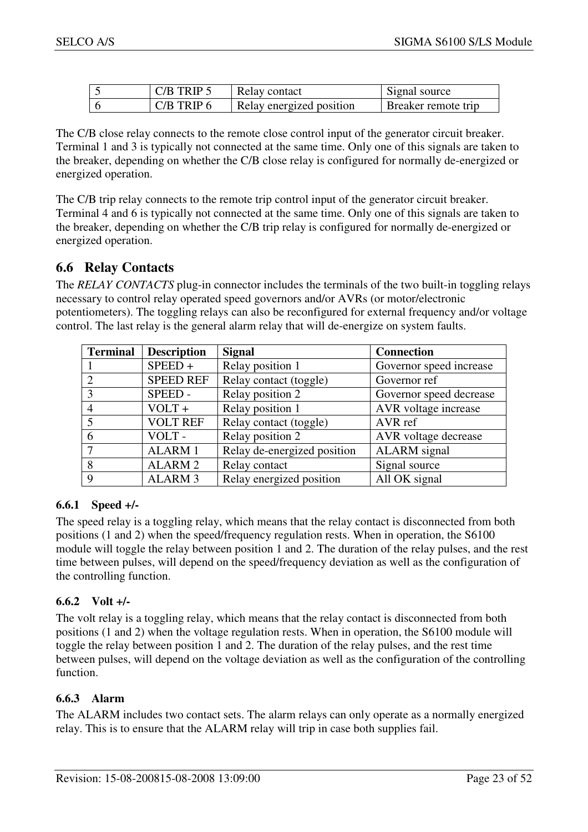| $C/B$ TRIP 5   | Relay contact            | Signal source       |
|----------------|--------------------------|---------------------|
| $C/B$ TRIP $6$ | Relay energized position | Breaker remote trip |

The C/B close relay connects to the remote close control input of the generator circuit breaker. Terminal 1 and 3 is typically not connected at the same time. Only one of this signals are taken to the breaker, depending on whether the C/B close relay is configured for normally de-energized or energized operation.

The C/B trip relay connects to the remote trip control input of the generator circuit breaker. Terminal 4 and 6 is typically not connected at the same time. Only one of this signals are taken to the breaker, depending on whether the C/B trip relay is configured for normally de-energized or energized operation.

## **6.6 Relay Contacts**

The *RELAY CONTACTS* plug-in connector includes the terminals of the two built-in toggling relays necessary to control relay operated speed governors and/or AVRs (or motor/electronic potentiometers). The toggling relays can also be reconfigured for external frequency and/or voltage control. The last relay is the general alarm relay that will de-energize on system faults.

| <b>Terminal</b> | <b>Description</b> | <b>Signal</b>               | <b>Connection</b>       |
|-----------------|--------------------|-----------------------------|-------------------------|
|                 | $SPEED +$          | Relay position 1            | Governor speed increase |
| $\mathcal{D}$   | <b>SPEED REF</b>   | Relay contact (toggle)      | Governor ref            |
| 3               | SPEED-             | Relay position 2            | Governor speed decrease |
|                 | $VOLT +$           | Relay position 1            | AVR voltage increase    |
|                 | <b>VOLT REF</b>    | Relay contact (toggle)      | AVR ref                 |
| 6               | VOLT-              | Relay position 2            | AVR voltage decrease    |
|                 | <b>ALARM1</b>      | Relay de-energized position | <b>ALARM</b> signal     |
| 8               | <b>ALARM 2</b>     | Relay contact               | Signal source           |
| 9               | <b>ALARM 3</b>     | Relay energized position    | All OK signal           |

#### **6.6.1 Speed +/-**

The speed relay is a toggling relay, which means that the relay contact is disconnected from both positions (1 and 2) when the speed/frequency regulation rests. When in operation, the S6100 module will toggle the relay between position 1 and 2. The duration of the relay pulses, and the rest time between pulses, will depend on the speed/frequency deviation as well as the configuration of the controlling function.

#### **6.6.2 Volt +/-**

The volt relay is a toggling relay, which means that the relay contact is disconnected from both positions (1 and 2) when the voltage regulation rests. When in operation, the S6100 module will toggle the relay between position 1 and 2. The duration of the relay pulses, and the rest time between pulses, will depend on the voltage deviation as well as the configuration of the controlling function.

#### **6.6.3 Alarm**

The ALARM includes two contact sets. The alarm relays can only operate as a normally energized relay. This is to ensure that the ALARM relay will trip in case both supplies fail.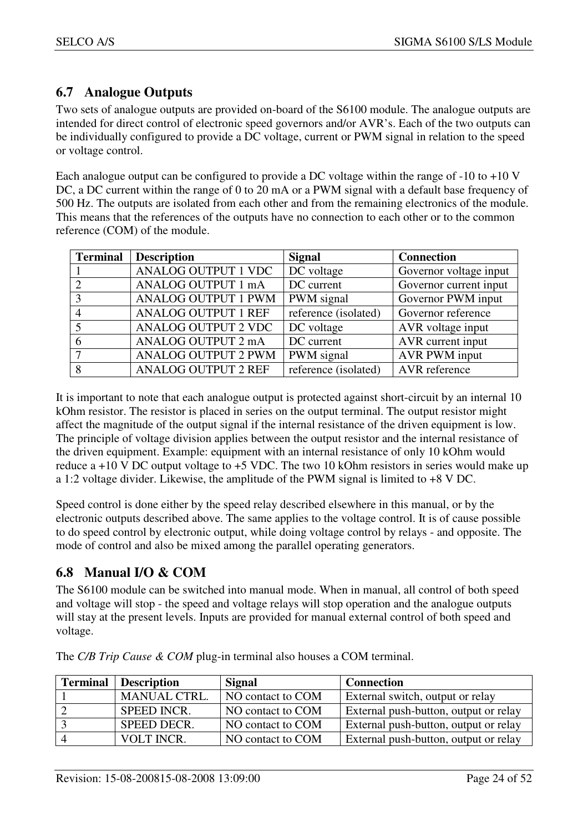## **6.7 Analogue Outputs**

Two sets of analogue outputs are provided on-board of the S6100 module. The analogue outputs are intended for direct control of electronic speed governors and/or AVR's. Each of the two outputs can be individually configured to provide a DC voltage, current or PWM signal in relation to the speed or voltage control.

Each analogue output can be configured to provide a DC voltage within the range of  $-10$  to  $+10$  V DC, a DC current within the range of 0 to 20 mA or a PWM signal with a default base frequency of 500 Hz. The outputs are isolated from each other and from the remaining electronics of the module. This means that the references of the outputs have no connection to each other or to the common reference (COM) of the module.

| <b>Terminal</b> | <b>Description</b>         | <b>Signal</b>           | <b>Connection</b>      |
|-----------------|----------------------------|-------------------------|------------------------|
|                 | <b>ANALOG OUTPUT 1 VDC</b> | $\overline{DC}$ voltage | Governor voltage input |
|                 | ANALOG OUTPUT 1 mA         | DC current              | Governor current input |
|                 | <b>ANALOG OUTPUT 1 PWM</b> | PWM signal              | Governor PWM input     |
|                 | <b>ANALOG OUTPUT 1 REF</b> | reference (isolated)    | Governor reference     |
|                 | <b>ANALOG OUTPUT 2 VDC</b> | DC voltage              | AVR voltage input      |
|                 | ANALOG OUTPUT 2 mA         | DC current              | AVR current input      |
|                 | <b>ANALOG OUTPUT 2 PWM</b> | PWM signal              | AVR PWM input          |
| 8               | <b>ANALOG OUTPUT 2 REF</b> | reference (isolated)    | AVR reference          |

It is important to note that each analogue output is protected against short-circuit by an internal 10 kOhm resistor. The resistor is placed in series on the output terminal. The output resistor might affect the magnitude of the output signal if the internal resistance of the driven equipment is low. The principle of voltage division applies between the output resistor and the internal resistance of the driven equipment. Example: equipment with an internal resistance of only 10 kOhm would reduce a  $+10$  V DC output voltage to  $+5$  VDC. The two 10 kOhm resistors in series would make up a 1:2 voltage divider. Likewise, the amplitude of the PWM signal is limited to +8 V DC.

Speed control is done either by the speed relay described elsewhere in this manual, or by the electronic outputs described above. The same applies to the voltage control. It is of cause possible to do speed control by electronic output, while doing voltage control by relays - and opposite. The mode of control and also be mixed among the parallel operating generators.

## **6.8 Manual I/O & COM**

The S6100 module can be switched into manual mode. When in manual, all control of both speed and voltage will stop - the speed and voltage relays will stop operation and the analogue outputs will stay at the present levels. Inputs are provided for manual external control of both speed and voltage.

| <b>Terminal</b> Description | <b>Signal</b>     | <b>Connection</b>                     |
|-----------------------------|-------------------|---------------------------------------|
| <b>MANUAL CTRL.</b>         | NO contact to COM | External switch, output or relay      |
| <b>SPEED INCR.</b>          | NO contact to COM | External push-button, output or relay |
| SPEED DECR.                 | NO contact to COM | External push-button, output or relay |
| VOLT INCR.                  | NO contact to COM | External push-button, output or relay |

The *C/B Trip Cause & COM* plug-in terminal also houses a COM terminal.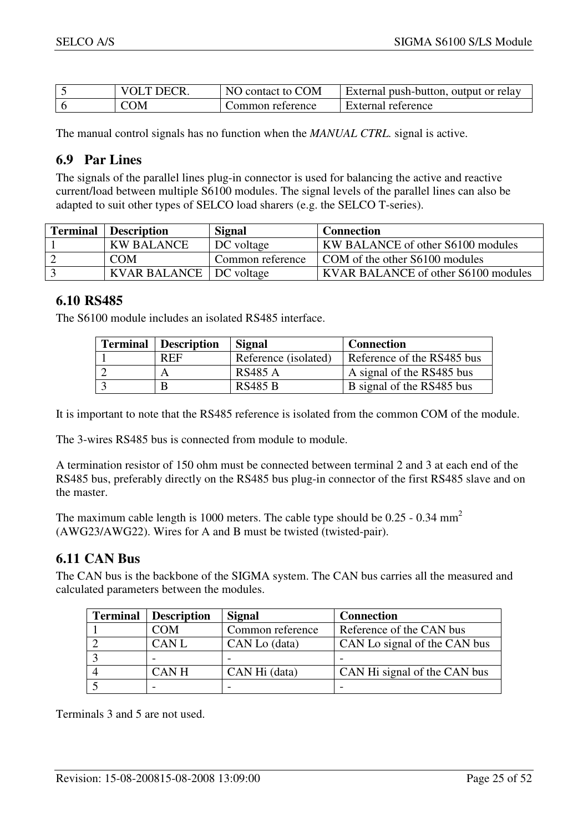| VOI T DECR        | NO contact to COM | External push-button, output or relay |
|-------------------|-------------------|---------------------------------------|
| $\gamma_{\rm OM}$ | Common reference  | External reference                    |

The manual control signals has no function when the *MANUAL CTRL.* signal is active.

## **6.9 Par Lines**

The signals of the parallel lines plug-in connector is used for balancing the active and reactive current/load between multiple S6100 modules. The signal levels of the parallel lines can also be adapted to suit other types of SELCO load sharers (e.g. the SELCO T-series).

| <b>Terminal</b> Description | <b>Signal</b>    | <b>Connection</b>                          |
|-----------------------------|------------------|--------------------------------------------|
| <b>KW BALANCE</b>           | DC voltage       | <b>KW BALANCE</b> of other S6100 modules   |
| <b>COM</b>                  | Common reference | COM of the other S6100 modules             |
| KVAR BALANCE   DC voltage   |                  | <b>KVAR BALANCE</b> of other S6100 modules |

## **6.10 RS485**

The S6100 module includes an isolated RS485 interface.

| <b>Terminal</b> | Description | Signal               | <b>Connection</b>          |
|-----------------|-------------|----------------------|----------------------------|
|                 | <b>REF</b>  | Reference (isolated) | Reference of the RS485 bus |
|                 |             | RS485 A              | A signal of the RS485 bus  |
|                 |             | <b>RS485 B</b>       | B signal of the RS485 bus  |

It is important to note that the RS485 reference is isolated from the common COM of the module.

The 3-wires RS485 bus is connected from module to module.

A termination resistor of 150 ohm must be connected between terminal 2 and 3 at each end of the RS485 bus, preferably directly on the RS485 bus plug-in connector of the first RS485 slave and on the master.

The maximum cable length is 1000 meters. The cable type should be  $0.25 - 0.34$  mm<sup>2</sup> (AWG23/AWG22). Wires for A and B must be twisted (twisted-pair).

## **6.11 CAN Bus**

The CAN bus is the backbone of the SIGMA system. The CAN bus carries all the measured and calculated parameters between the modules.

| <b>Terminal</b> | <b>Description</b> | <b>Signal</b>    | <b>Connection</b>            |
|-----------------|--------------------|------------------|------------------------------|
|                 | COM                | Common reference | Reference of the CAN bus     |
|                 | <b>CANL</b>        | CAN Lo (data)    | CAN Lo signal of the CAN bus |
|                 |                    |                  |                              |
|                 | <b>CANH</b>        | CAN Hi (data)    | CAN Hi signal of the CAN bus |
|                 |                    |                  |                              |

Terminals 3 and 5 are not used.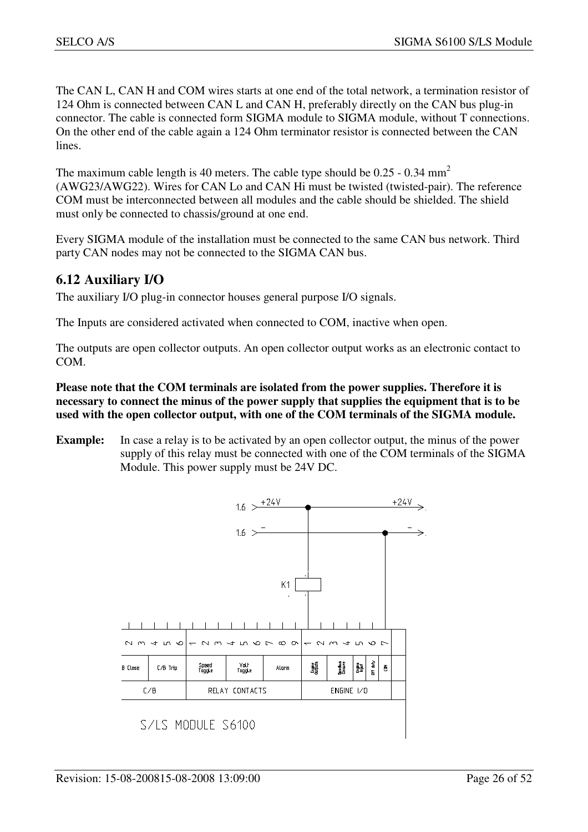The CAN L, CAN H and COM wires starts at one end of the total network, a termination resistor of 124 Ohm is connected between CAN L and CAN H, preferably directly on the CAN bus plug-in connector. The cable is connected form SIGMA module to SIGMA module, without T connections. On the other end of the cable again a 124 Ohm terminator resistor is connected between the CAN lines.

The maximum cable length is 40 meters. The cable type should be  $0.25 - 0.34$  mm<sup>2</sup> (AWG23/AWG22). Wires for CAN Lo and CAN Hi must be twisted (twisted-pair). The reference COM must be interconnected between all modules and the cable should be shielded. The shield must only be connected to chassis/ground at one end.

Every SIGMA module of the installation must be connected to the same CAN bus network. Third party CAN nodes may not be connected to the SIGMA CAN bus.

## **6.12 Auxiliary I/O**

The auxiliary I/O plug-in connector houses general purpose I/O signals.

The Inputs are considered activated when connected to COM, inactive when open.

The outputs are open collector outputs. An open collector output works as an electronic contact to COM.

#### **Please note that the COM terminals are isolated from the power supplies. Therefore it is necessary to connect the minus of the power supply that supplies the equipment that is to be used with the open collector output, with one of the COM terminals of the SIGMA module.**

**Example:** In case a relay is to be activated by an open collector output, the minus of the power supply of this relay must be connected with one of the COM terminals of the SIGMA Module. This power supply must be 24V DC.

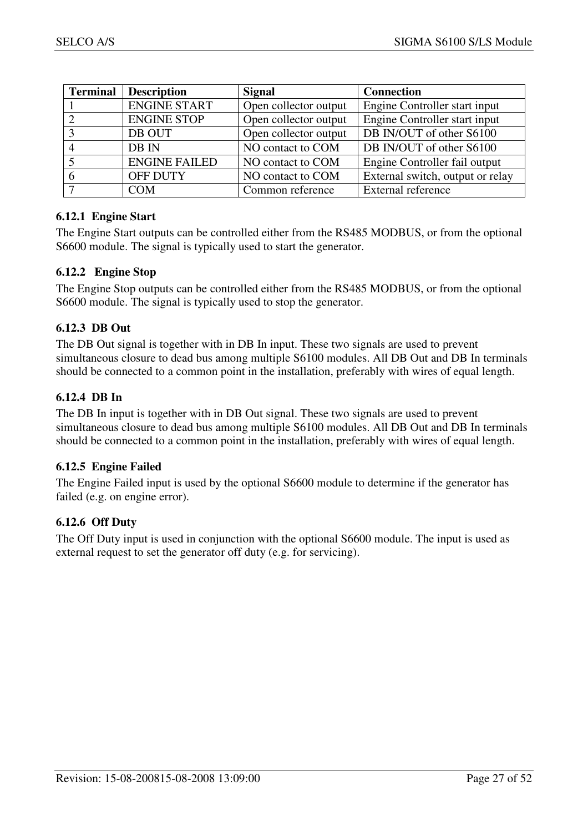| <b>Terminal</b> | <b>Description</b>   | <b>Signal</b>         | <b>Connection</b>                |
|-----------------|----------------------|-----------------------|----------------------------------|
|                 | <b>ENGINE START</b>  | Open collector output | Engine Controller start input    |
|                 | <b>ENGINE STOP</b>   | Open collector output | Engine Controller start input    |
| հ               | DB OUT               | Open collector output | DB IN/OUT of other S6100         |
|                 | DB IN                | NO contact to COM     | DB IN/OUT of other S6100         |
|                 | <b>ENGINE FAILED</b> | NO contact to COM     | Engine Controller fail output    |
|                 | <b>OFF DUTY</b>      | NO contact to COM     | External switch, output or relay |
|                 | <b>COM</b>           | Common reference      | External reference               |

#### **6.12.1 Engine Start**

The Engine Start outputs can be controlled either from the RS485 MODBUS, or from the optional S6600 module. The signal is typically used to start the generator.

#### **6.12.2 Engine Stop**

The Engine Stop outputs can be controlled either from the RS485 MODBUS, or from the optional S6600 module. The signal is typically used to stop the generator.

#### **6.12.3 DB Out**

The DB Out signal is together with in DB In input. These two signals are used to prevent simultaneous closure to dead bus among multiple S6100 modules. All DB Out and DB In terminals should be connected to a common point in the installation, preferably with wires of equal length.

#### **6.12.4 DB In**

The DB In input is together with in DB Out signal. These two signals are used to prevent simultaneous closure to dead bus among multiple S6100 modules. All DB Out and DB In terminals should be connected to a common point in the installation, preferably with wires of equal length.

#### **6.12.5 Engine Failed**

The Engine Failed input is used by the optional S6600 module to determine if the generator has failed (e.g. on engine error).

#### **6.12.6 Off Duty**

The Off Duty input is used in conjunction with the optional S6600 module. The input is used as external request to set the generator off duty (e.g. for servicing).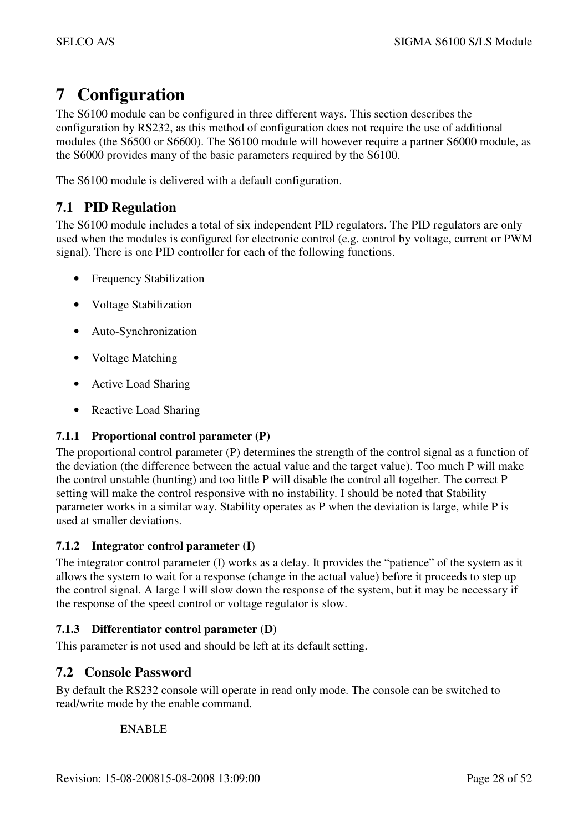## **7 Configuration**

The S6100 module can be configured in three different ways. This section describes the configuration by RS232, as this method of configuration does not require the use of additional modules (the S6500 or S6600). The S6100 module will however require a partner S6000 module, as the S6000 provides many of the basic parameters required by the S6100.

The S6100 module is delivered with a default configuration.

## **7.1 PID Regulation**

The S6100 module includes a total of six independent PID regulators. The PID regulators are only used when the modules is configured for electronic control (e.g. control by voltage, current or PWM signal). There is one PID controller for each of the following functions.

- Frequency Stabilization
- Voltage Stabilization
- Auto-Synchronization
- Voltage Matching
- Active Load Sharing
- Reactive Load Sharing

## **7.1.1 Proportional control parameter (P)**

The proportional control parameter (P) determines the strength of the control signal as a function of the deviation (the difference between the actual value and the target value). Too much P will make the control unstable (hunting) and too little P will disable the control all together. The correct P setting will make the control responsive with no instability. I should be noted that Stability parameter works in a similar way. Stability operates as P when the deviation is large, while P is used at smaller deviations.

## **7.1.2 Integrator control parameter (I)**

The integrator control parameter (I) works as a delay. It provides the "patience" of the system as it allows the system to wait for a response (change in the actual value) before it proceeds to step up the control signal. A large I will slow down the response of the system, but it may be necessary if the response of the speed control or voltage regulator is slow.

## **7.1.3 Differentiator control parameter (D)**

This parameter is not used and should be left at its default setting.

## **7.2 Console Password**

By default the RS232 console will operate in read only mode. The console can be switched to read/write mode by the enable command.

## ENABLE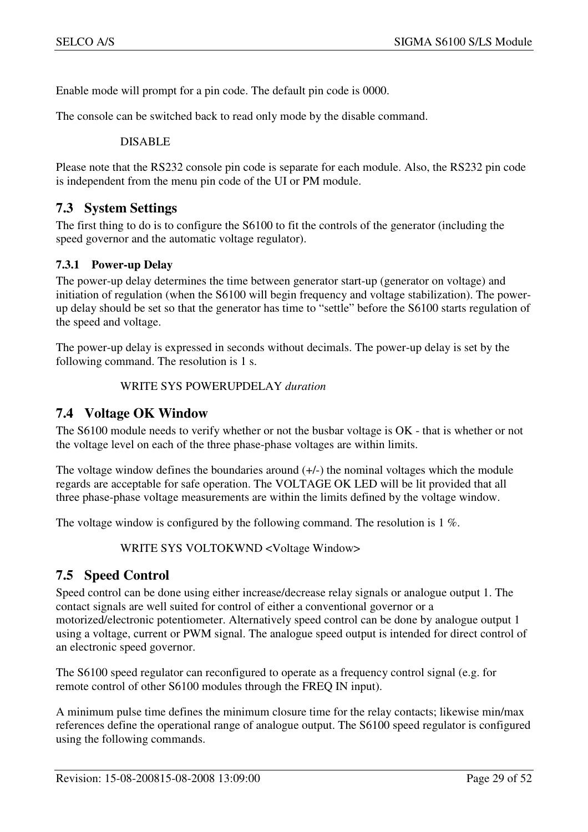Enable mode will prompt for a pin code. The default pin code is 0000.

The console can be switched back to read only mode by the disable command.

DISABLE

Please note that the RS232 console pin code is separate for each module. Also, the RS232 pin code is independent from the menu pin code of the UI or PM module.

#### **7.3 System Settings**

The first thing to do is to configure the S6100 to fit the controls of the generator (including the speed governor and the automatic voltage regulator).

#### **7.3.1 Power-up Delay**

The power-up delay determines the time between generator start-up (generator on voltage) and initiation of regulation (when the S6100 will begin frequency and voltage stabilization). The powerup delay should be set so that the generator has time to "settle" before the S6100 starts regulation of the speed and voltage.

The power-up delay is expressed in seconds without decimals. The power-up delay is set by the following command. The resolution is 1 s.

WRITE SYS POWERUPDELAY *duration*

#### **7.4 Voltage OK Window**

The S6100 module needs to verify whether or not the busbar voltage is OK - that is whether or not the voltage level on each of the three phase-phase voltages are within limits.

The voltage window defines the boundaries around  $(+/-)$  the nominal voltages which the module regards are acceptable for safe operation. The VOLTAGE OK LED will be lit provided that all three phase-phase voltage measurements are within the limits defined by the voltage window.

The voltage window is configured by the following command. The resolution is 1 %.

WRITE SYS VOLTOKWND <Voltage Window>

## **7.5 Speed Control**

Speed control can be done using either increase/decrease relay signals or analogue output 1. The contact signals are well suited for control of either a conventional governor or a motorized/electronic potentiometer. Alternatively speed control can be done by analogue output 1 using a voltage, current or PWM signal. The analogue speed output is intended for direct control of an electronic speed governor.

The S6100 speed regulator can reconfigured to operate as a frequency control signal (e.g. for remote control of other S6100 modules through the FREQ IN input).

A minimum pulse time defines the minimum closure time for the relay contacts; likewise min/max references define the operational range of analogue output. The S6100 speed regulator is configured using the following commands.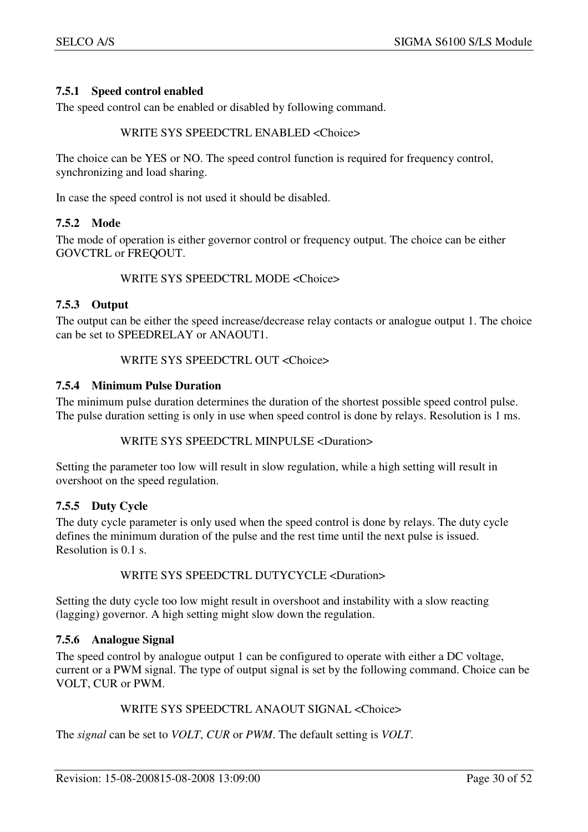#### **7.5.1 Speed control enabled**

The speed control can be enabled or disabled by following command.

#### WRITE SYS SPEEDCTRL ENABLED <Choice>

The choice can be YES or NO. The speed control function is required for frequency control, synchronizing and load sharing.

In case the speed control is not used it should be disabled.

#### **7.5.2 Mode**

The mode of operation is either governor control or frequency output. The choice can be either GOVCTRL or FREQOUT.

#### WRITE SYS SPEEDCTRL MODE <Choice>

#### **7.5.3 Output**

The output can be either the speed increase/decrease relay contacts or analogue output 1. The choice can be set to SPEEDRELAY or ANAOUT1.

#### WRITE SYS SPEEDCTRL OUT <Choice>

#### **7.5.4 Minimum Pulse Duration**

The minimum pulse duration determines the duration of the shortest possible speed control pulse. The pulse duration setting is only in use when speed control is done by relays. Resolution is 1 ms.

#### WRITE SYS SPEEDCTRL MINPULSE <Duration>

Setting the parameter too low will result in slow regulation, while a high setting will result in overshoot on the speed regulation.

#### **7.5.5 Duty Cycle**

The duty cycle parameter is only used when the speed control is done by relays. The duty cycle defines the minimum duration of the pulse and the rest time until the next pulse is issued. Resolution is 0.1 s.

#### WRITE SYS SPEEDCTRL DUTYCYCLE <Duration>

Setting the duty cycle too low might result in overshoot and instability with a slow reacting (lagging) governor. A high setting might slow down the regulation.

#### **7.5.6 Analogue Signal**

The speed control by analogue output 1 can be configured to operate with either a DC voltage, current or a PWM signal. The type of output signal is set by the following command. Choice can be VOLT, CUR or PWM.

#### WRITE SYS SPEEDCTRL ANAOUT SIGNAL <Choice>

The *signal* can be set to *VOLT*, *CUR* or *PWM*. The default setting is *VOLT*.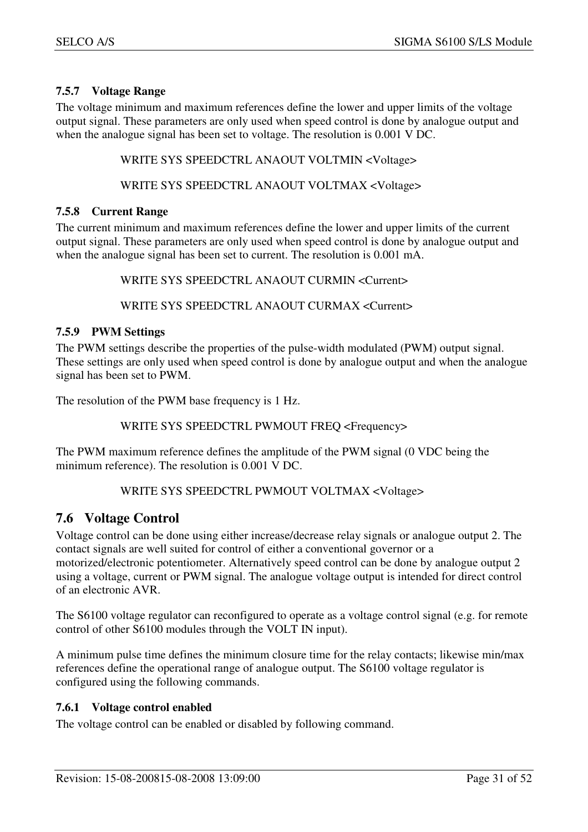### **7.5.7 Voltage Range**

The voltage minimum and maximum references define the lower and upper limits of the voltage output signal. These parameters are only used when speed control is done by analogue output and when the analogue signal has been set to voltage. The resolution is 0.001 V DC.

WRITE SYS SPEEDCTRL ANAOUT VOLTMIN <Voltage>

WRITE SYS SPEEDCTRL ANAOUT VOLTMAX <Voltage>

#### **7.5.8 Current Range**

The current minimum and maximum references define the lower and upper limits of the current output signal. These parameters are only used when speed control is done by analogue output and when the analogue signal has been set to current. The resolution is 0.001 mA.

WRITE SYS SPEEDCTRL ANAOUT CURMIN <Current>

WRITE SYS SPEEDCTRL ANAOUT CURMAX <Current>

#### **7.5.9 PWM Settings**

The PWM settings describe the properties of the pulse-width modulated (PWM) output signal. These settings are only used when speed control is done by analogue output and when the analogue signal has been set to PWM.

The resolution of the PWM base frequency is 1 Hz.

WRITE SYS SPEEDCTRL PWMOUT FREQ <Frequency>

The PWM maximum reference defines the amplitude of the PWM signal (0 VDC being the minimum reference). The resolution is 0.001 V DC.

#### WRITE SYS SPEEDCTRL PWMOUT VOLTMAX <Voltage>

## **7.6 Voltage Control**

Voltage control can be done using either increase/decrease relay signals or analogue output 2. The contact signals are well suited for control of either a conventional governor or a motorized/electronic potentiometer. Alternatively speed control can be done by analogue output 2 using a voltage, current or PWM signal. The analogue voltage output is intended for direct control of an electronic AVR.

The S6100 voltage regulator can reconfigured to operate as a voltage control signal (e.g. for remote control of other S6100 modules through the VOLT IN input).

A minimum pulse time defines the minimum closure time for the relay contacts; likewise min/max references define the operational range of analogue output. The S6100 voltage regulator is configured using the following commands.

#### **7.6.1 Voltage control enabled**

The voltage control can be enabled or disabled by following command.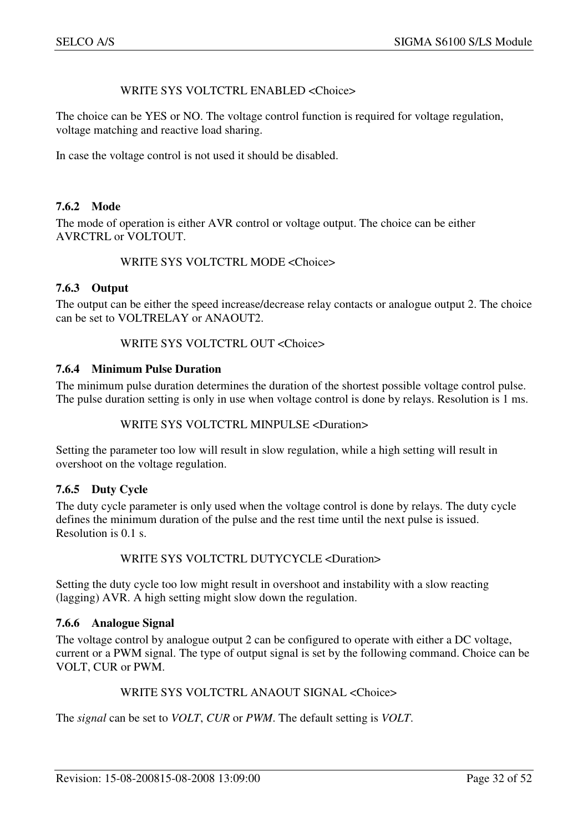#### WRITE SYS VOLTCTRL ENABLED <Choice>

The choice can be YES or NO. The voltage control function is required for voltage regulation, voltage matching and reactive load sharing.

In case the voltage control is not used it should be disabled.

#### **7.6.2 Mode**

The mode of operation is either AVR control or voltage output. The choice can be either AVRCTRL or VOLTOUT.

#### WRITE SYS VOLTCTRL MODE <Choice>

#### **7.6.3 Output**

The output can be either the speed increase/decrease relay contacts or analogue output 2. The choice can be set to VOLTRELAY or ANAOUT2.

#### WRITE SYS VOLTCTRL OUT <Choice>

#### **7.6.4 Minimum Pulse Duration**

The minimum pulse duration determines the duration of the shortest possible voltage control pulse. The pulse duration setting is only in use when voltage control is done by relays. Resolution is 1 ms.

#### WRITE SYS VOLTCTRL MINPULSE <Duration>

Setting the parameter too low will result in slow regulation, while a high setting will result in overshoot on the voltage regulation.

#### **7.6.5 Duty Cycle**

The duty cycle parameter is only used when the voltage control is done by relays. The duty cycle defines the minimum duration of the pulse and the rest time until the next pulse is issued. Resolution is 0.1 s.

#### WRITE SYS VOLTCTRL DUTYCYCLE <Duration>

Setting the duty cycle too low might result in overshoot and instability with a slow reacting (lagging) AVR. A high setting might slow down the regulation.

#### **7.6.6 Analogue Signal**

The voltage control by analogue output 2 can be configured to operate with either a DC voltage, current or a PWM signal. The type of output signal is set by the following command. Choice can be VOLT, CUR or PWM.

#### WRITE SYS VOLTCTRL ANAOUT SIGNAL <Choice>

The *signal* can be set to *VOLT*, *CUR* or *PWM*. The default setting is *VOLT*.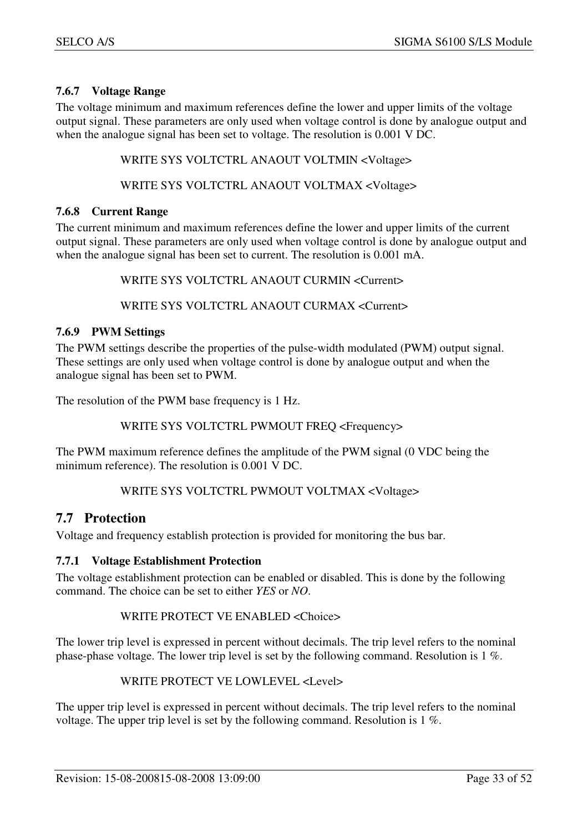### **7.6.7 Voltage Range**

The voltage minimum and maximum references define the lower and upper limits of the voltage output signal. These parameters are only used when voltage control is done by analogue output and when the analogue signal has been set to voltage. The resolution is 0.001 V DC.

WRITE SYS VOLTCTRL ANAOUT VOLTMIN <Voltage>

WRITE SYS VOLTCTRL ANAOUT VOLTMAX <Voltage>

#### **7.6.8 Current Range**

The current minimum and maximum references define the lower and upper limits of the current output signal. These parameters are only used when voltage control is done by analogue output and when the analogue signal has been set to current. The resolution is 0.001 mA.

WRITE SYS VOLTCTRL ANAOUT CURMIN <Current>

WRITE SYS VOLTCTRL ANAOUT CURMAX <Current>

#### **7.6.9 PWM Settings**

The PWM settings describe the properties of the pulse-width modulated (PWM) output signal. These settings are only used when voltage control is done by analogue output and when the analogue signal has been set to PWM.

The resolution of the PWM base frequency is 1 Hz.

WRITE SYS VOLTCTRL PWMOUT FREQ <Frequency>

The PWM maximum reference defines the amplitude of the PWM signal (0 VDC being the minimum reference). The resolution is 0.001 V DC.

#### WRITE SYS VOLTCTRL PWMOUT VOLTMAX <Voltage>

## **7.7 Protection**

Voltage and frequency establish protection is provided for monitoring the bus bar.

#### **7.7.1 Voltage Establishment Protection**

The voltage establishment protection can be enabled or disabled. This is done by the following command. The choice can be set to either *YES* or *NO*.

#### WRITE PROTECT VE ENABLED <Choice>

The lower trip level is expressed in percent without decimals. The trip level refers to the nominal phase-phase voltage. The lower trip level is set by the following command. Resolution is 1 %.

WRITE PROTECT VE LOWLEVEL <Level>

The upper trip level is expressed in percent without decimals. The trip level refers to the nominal voltage. The upper trip level is set by the following command. Resolution is 1 %.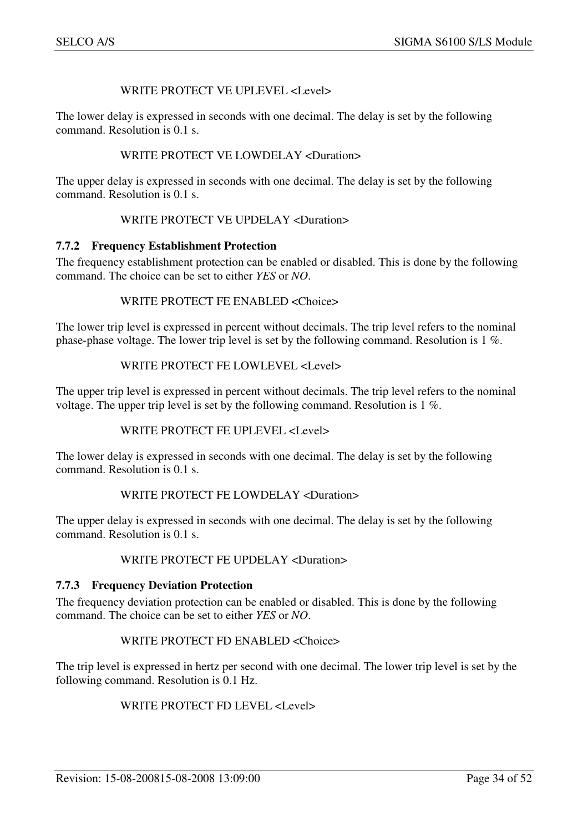#### WRITE PROTECT VE UPLEVEL <Level>

The lower delay is expressed in seconds with one decimal. The delay is set by the following command. Resolution is 0.1 s.

#### WRITE PROTECT VE LOWDELAY <Duration>

The upper delay is expressed in seconds with one decimal. The delay is set by the following command. Resolution is 0.1 s.

#### WRITE PROTECT VE UPDELAY <Duration>

#### **7.7.2 Frequency Establishment Protection**

The frequency establishment protection can be enabled or disabled. This is done by the following command. The choice can be set to either *YES* or *NO*.

#### WRITE PROTECT FE ENABLED <Choice>

The lower trip level is expressed in percent without decimals. The trip level refers to the nominal phase-phase voltage. The lower trip level is set by the following command. Resolution is 1 %.

#### WRITE PROTECT FE LOWLEVEL <Level>

The upper trip level is expressed in percent without decimals. The trip level refers to the nominal voltage. The upper trip level is set by the following command. Resolution is 1 %.

#### WRITE PROTECT FE UPLEVEL <Level>

The lower delay is expressed in seconds with one decimal. The delay is set by the following command. Resolution is 0.1 s.

#### WRITE PROTECT FE LOWDELAY <Duration>

The upper delay is expressed in seconds with one decimal. The delay is set by the following command. Resolution is 0.1 s.

#### WRITE PROTECT FE UPDELAY <Duration>

#### **7.7.3 Frequency Deviation Protection**

The frequency deviation protection can be enabled or disabled. This is done by the following command. The choice can be set to either *YES* or *NO*.

#### WRITE PROTECT FD ENABLED <Choice>

The trip level is expressed in hertz per second with one decimal. The lower trip level is set by the following command. Resolution is 0.1 Hz.

#### WRITE PROTECT FD LEVEL <Level>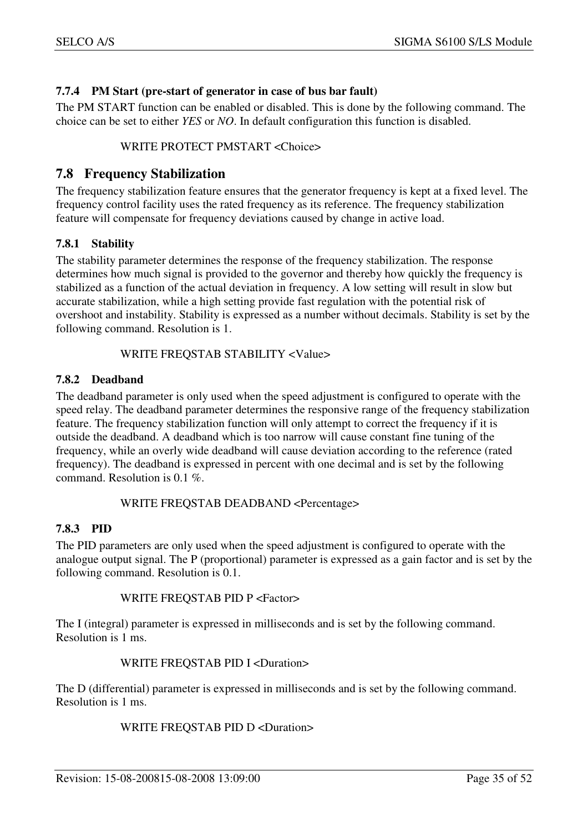#### **7.7.4 PM Start (pre-start of generator in case of bus bar fault)**

The PM START function can be enabled or disabled. This is done by the following command. The choice can be set to either *YES* or *NO*. In default configuration this function is disabled.

#### WRITE PROTECT PMSTART <Choice>

## **7.8 Frequency Stabilization**

The frequency stabilization feature ensures that the generator frequency is kept at a fixed level. The frequency control facility uses the rated frequency as its reference. The frequency stabilization feature will compensate for frequency deviations caused by change in active load.

#### **7.8.1 Stability**

The stability parameter determines the response of the frequency stabilization. The response determines how much signal is provided to the governor and thereby how quickly the frequency is stabilized as a function of the actual deviation in frequency. A low setting will result in slow but accurate stabilization, while a high setting provide fast regulation with the potential risk of overshoot and instability. Stability is expressed as a number without decimals. Stability is set by the following command. Resolution is 1.

#### WRITE FREQSTAB STABILITY <Value>

#### **7.8.2 Deadband**

The deadband parameter is only used when the speed adjustment is configured to operate with the speed relay. The deadband parameter determines the responsive range of the frequency stabilization feature. The frequency stabilization function will only attempt to correct the frequency if it is outside the deadband. A deadband which is too narrow will cause constant fine tuning of the frequency, while an overly wide deadband will cause deviation according to the reference (rated frequency). The deadband is expressed in percent with one decimal and is set by the following command. Resolution is 0.1 %.

#### WRITE FREQSTAB DEADBAND <Percentage>

#### **7.8.3 PID**

The PID parameters are only used when the speed adjustment is configured to operate with the analogue output signal. The P (proportional) parameter is expressed as a gain factor and is set by the following command. Resolution is 0.1.

#### WRITE FREQSTAB PID P <Factor>

The I (integral) parameter is expressed in milliseconds and is set by the following command. Resolution is 1 ms.

#### WRITE FREQSTAB PID I <Duration>

The D (differential) parameter is expressed in milliseconds and is set by the following command. Resolution is 1 ms.

#### WRITE FREQSTAB PID D <Duration>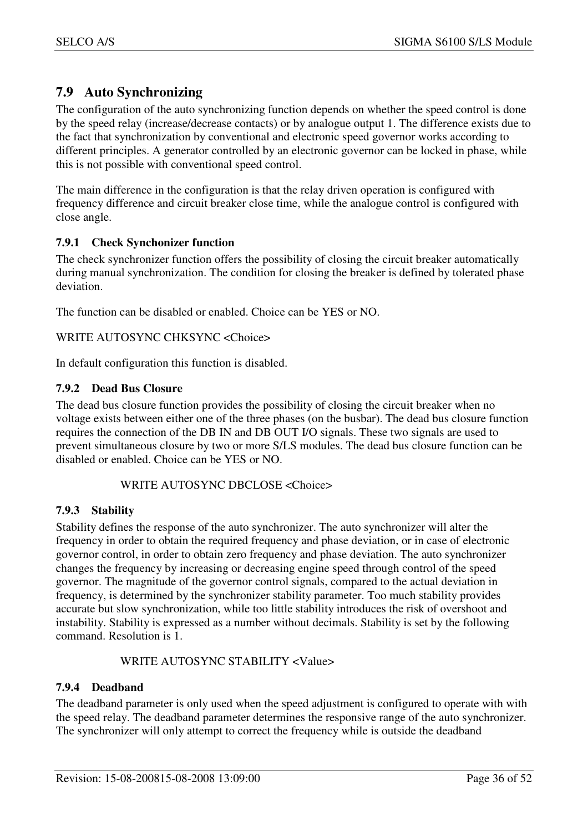## **7.9 Auto Synchronizing**

The configuration of the auto synchronizing function depends on whether the speed control is done by the speed relay (increase/decrease contacts) or by analogue output 1. The difference exists due to the fact that synchronization by conventional and electronic speed governor works according to different principles. A generator controlled by an electronic governor can be locked in phase, while this is not possible with conventional speed control.

The main difference in the configuration is that the relay driven operation is configured with frequency difference and circuit breaker close time, while the analogue control is configured with close angle.

#### **7.9.1 Check Synchonizer function**

The check synchronizer function offers the possibility of closing the circuit breaker automatically during manual synchronization. The condition for closing the breaker is defined by tolerated phase deviation.

The function can be disabled or enabled. Choice can be YES or NO.

#### WRITE AUTOSYNC CHKSYNC <Choice>

In default configuration this function is disabled.

#### **7.9.2 Dead Bus Closure**

The dead bus closure function provides the possibility of closing the circuit breaker when no voltage exists between either one of the three phases (on the busbar). The dead bus closure function requires the connection of the DB IN and DB OUT I/O signals. These two signals are used to prevent simultaneous closure by two or more S/LS modules. The dead bus closure function can be disabled or enabled. Choice can be YES or NO.

#### WRITE AUTOSYNC DBCLOSE <Choice>

#### **7.9.3 Stability**

Stability defines the response of the auto synchronizer. The auto synchronizer will alter the frequency in order to obtain the required frequency and phase deviation, or in case of electronic governor control, in order to obtain zero frequency and phase deviation. The auto synchronizer changes the frequency by increasing or decreasing engine speed through control of the speed governor. The magnitude of the governor control signals, compared to the actual deviation in frequency, is determined by the synchronizer stability parameter. Too much stability provides accurate but slow synchronization, while too little stability introduces the risk of overshoot and instability. Stability is expressed as a number without decimals. Stability is set by the following command. Resolution is 1.

WRITE AUTOSYNC STABILITY <Value>

#### **7.9.4 Deadband**

The deadband parameter is only used when the speed adjustment is configured to operate with with the speed relay. The deadband parameter determines the responsive range of the auto synchronizer. The synchronizer will only attempt to correct the frequency while is outside the deadband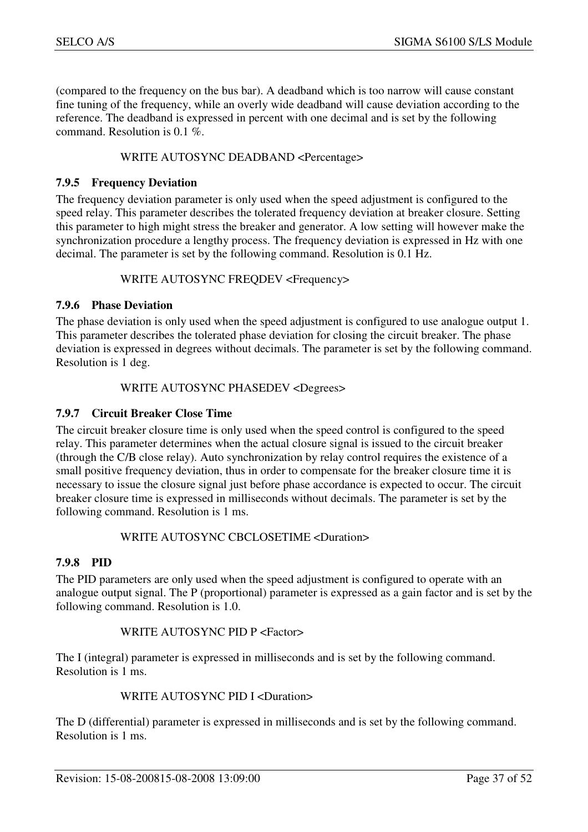(compared to the frequency on the bus bar). A deadband which is too narrow will cause constant fine tuning of the frequency, while an overly wide deadband will cause deviation according to the reference. The deadband is expressed in percent with one decimal and is set by the following command. Resolution is 0.1 %.

#### WRITE AUTOSYNC DEADBAND <Percentage>

#### **7.9.5 Frequency Deviation**

The frequency deviation parameter is only used when the speed adjustment is configured to the speed relay. This parameter describes the tolerated frequency deviation at breaker closure. Setting this parameter to high might stress the breaker and generator. A low setting will however make the synchronization procedure a lengthy process. The frequency deviation is expressed in Hz with one decimal. The parameter is set by the following command. Resolution is 0.1 Hz.

#### WRITE AUTOSYNC FREQDEV <Frequency>

#### **7.9.6 Phase Deviation**

The phase deviation is only used when the speed adjustment is configured to use analogue output 1. This parameter describes the tolerated phase deviation for closing the circuit breaker. The phase deviation is expressed in degrees without decimals. The parameter is set by the following command. Resolution is 1 deg.

#### WRITE AUTOSYNC PHASEDEV <Degrees>

#### **7.9.7 Circuit Breaker Close Time**

The circuit breaker closure time is only used when the speed control is configured to the speed relay. This parameter determines when the actual closure signal is issued to the circuit breaker (through the C/B close relay). Auto synchronization by relay control requires the existence of a small positive frequency deviation, thus in order to compensate for the breaker closure time it is necessary to issue the closure signal just before phase accordance is expected to occur. The circuit breaker closure time is expressed in milliseconds without decimals. The parameter is set by the following command. Resolution is 1 ms.

#### WRITE AUTOSYNC CBCLOSETIME <Duration>

#### **7.9.8 PID**

The PID parameters are only used when the speed adjustment is configured to operate with an analogue output signal. The P (proportional) parameter is expressed as a gain factor and is set by the following command. Resolution is 1.0.

#### WRITE AUTOSYNC PID P <Factor>

The I (integral) parameter is expressed in milliseconds and is set by the following command. Resolution is 1 ms.

#### WRITE AUTOSYNC PID I <Duration>

The D (differential) parameter is expressed in milliseconds and is set by the following command. Resolution is 1 ms.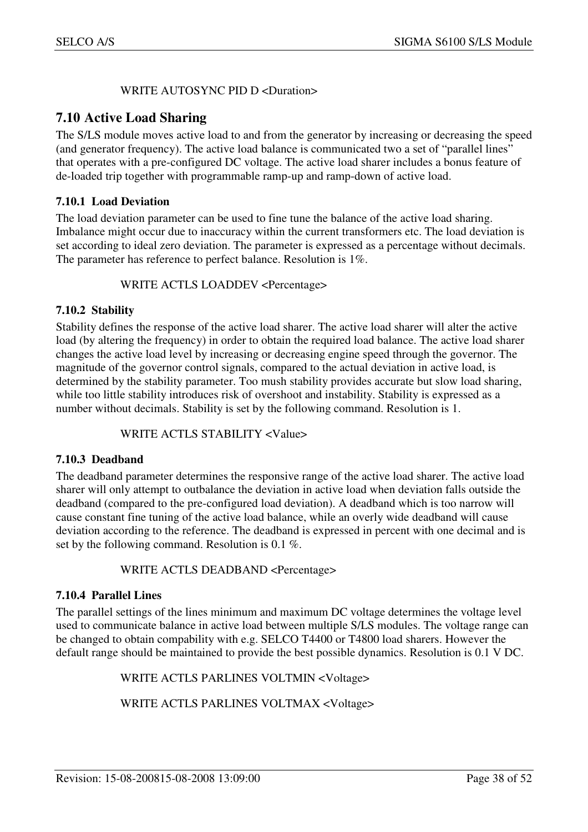#### WRITE AUTOSYNC PID D <Duration>

## **7.10 Active Load Sharing**

The S/LS module moves active load to and from the generator by increasing or decreasing the speed (and generator frequency). The active load balance is communicated two a set of "parallel lines" that operates with a pre-configured DC voltage. The active load sharer includes a bonus feature of de-loaded trip together with programmable ramp-up and ramp-down of active load.

#### **7.10.1 Load Deviation**

The load deviation parameter can be used to fine tune the balance of the active load sharing. Imbalance might occur due to inaccuracy within the current transformers etc. The load deviation is set according to ideal zero deviation. The parameter is expressed as a percentage without decimals. The parameter has reference to perfect balance. Resolution is 1%.

#### WRITE ACTLS LOADDEV <Percentage>

#### **7.10.2 Stability**

Stability defines the response of the active load sharer. The active load sharer will alter the active load (by altering the frequency) in order to obtain the required load balance. The active load sharer changes the active load level by increasing or decreasing engine speed through the governor. The magnitude of the governor control signals, compared to the actual deviation in active load, is determined by the stability parameter. Too mush stability provides accurate but slow load sharing, while too little stability introduces risk of overshoot and instability. Stability is expressed as a number without decimals. Stability is set by the following command. Resolution is 1.

#### WRITE ACTLS STABILITY <Value>

#### **7.10.3 Deadband**

The deadband parameter determines the responsive range of the active load sharer. The active load sharer will only attempt to outbalance the deviation in active load when deviation falls outside the deadband (compared to the pre-configured load deviation). A deadband which is too narrow will cause constant fine tuning of the active load balance, while an overly wide deadband will cause deviation according to the reference. The deadband is expressed in percent with one decimal and is set by the following command. Resolution is 0.1 %.

#### WRITE ACTLS DEADBAND <Percentage>

#### **7.10.4 Parallel Lines**

The parallel settings of the lines minimum and maximum DC voltage determines the voltage level used to communicate balance in active load between multiple S/LS modules. The voltage range can be changed to obtain compability with e.g. SELCO T4400 or T4800 load sharers. However the default range should be maintained to provide the best possible dynamics. Resolution is 0.1 V DC.

WRITE ACTLS PARLINES VOLTMIN <Voltage>

WRITE ACTLS PARLINES VOLTMAX <Voltage>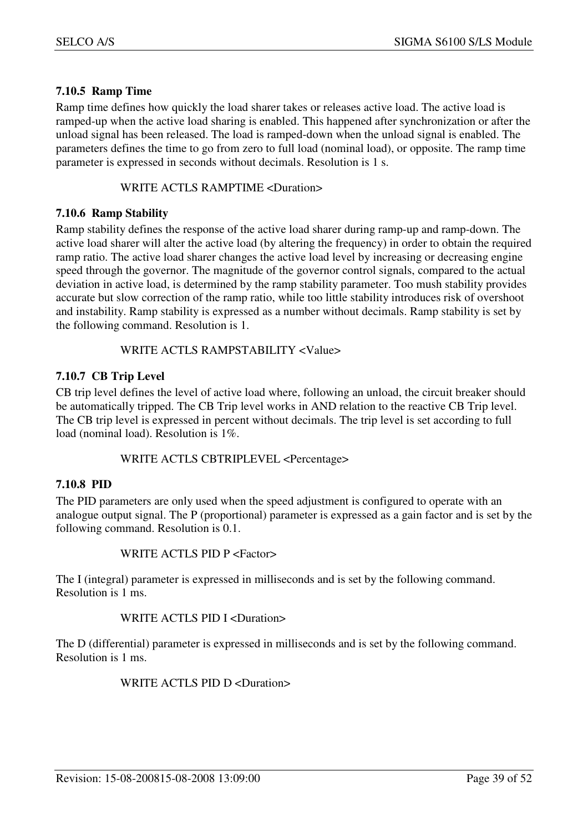#### **7.10.5 Ramp Time**

Ramp time defines how quickly the load sharer takes or releases active load. The active load is ramped-up when the active load sharing is enabled. This happened after synchronization or after the unload signal has been released. The load is ramped-down when the unload signal is enabled. The parameters defines the time to go from zero to full load (nominal load), or opposite. The ramp time parameter is expressed in seconds without decimals. Resolution is 1 s.

WRITE ACTLS RAMPTIME <Duration>

#### **7.10.6 Ramp Stability**

Ramp stability defines the response of the active load sharer during ramp-up and ramp-down. The active load sharer will alter the active load (by altering the frequency) in order to obtain the required ramp ratio. The active load sharer changes the active load level by increasing or decreasing engine speed through the governor. The magnitude of the governor control signals, compared to the actual deviation in active load, is determined by the ramp stability parameter. Too mush stability provides accurate but slow correction of the ramp ratio, while too little stability introduces risk of overshoot and instability. Ramp stability is expressed as a number without decimals. Ramp stability is set by the following command. Resolution is 1.

#### WRITE ACTLS RAMPSTABILITY <Value>

#### **7.10.7 CB Trip Level**

CB trip level defines the level of active load where, following an unload, the circuit breaker should be automatically tripped. The CB Trip level works in AND relation to the reactive CB Trip level. The CB trip level is expressed in percent without decimals. The trip level is set according to full load (nominal load). Resolution is 1%.

#### WRITE ACTLS CBTRIPLEVEL <Percentage>

#### **7.10.8 PID**

The PID parameters are only used when the speed adjustment is configured to operate with an analogue output signal. The P (proportional) parameter is expressed as a gain factor and is set by the following command. Resolution is 0.1.

#### WRITE ACTLS PID P <Factor>

The I (integral) parameter is expressed in milliseconds and is set by the following command. Resolution is 1 ms.

#### WRITE ACTLS PID I <Duration>

The D (differential) parameter is expressed in milliseconds and is set by the following command. Resolution is 1 ms.

#### WRITE ACTLS PID D<Duration>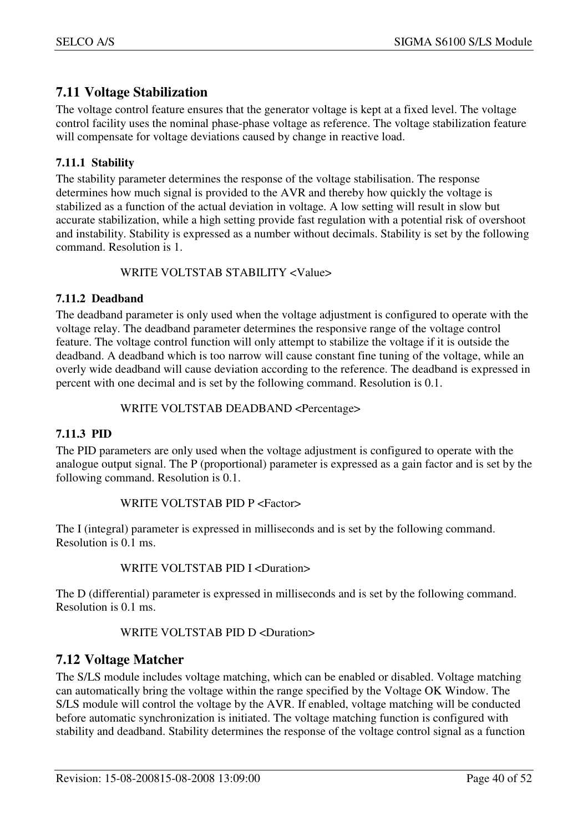## **7.11 Voltage Stabilization**

The voltage control feature ensures that the generator voltage is kept at a fixed level. The voltage control facility uses the nominal phase-phase voltage as reference. The voltage stabilization feature will compensate for voltage deviations caused by change in reactive load.

## **7.11.1 Stability**

The stability parameter determines the response of the voltage stabilisation. The response determines how much signal is provided to the AVR and thereby how quickly the voltage is stabilized as a function of the actual deviation in voltage. A low setting will result in slow but accurate stabilization, while a high setting provide fast regulation with a potential risk of overshoot and instability. Stability is expressed as a number without decimals. Stability is set by the following command. Resolution is 1.

#### WRITE VOLTSTAB STABILITY <Value>

#### **7.11.2 Deadband**

The deadband parameter is only used when the voltage adjustment is configured to operate with the voltage relay. The deadband parameter determines the responsive range of the voltage control feature. The voltage control function will only attempt to stabilize the voltage if it is outside the deadband. A deadband which is too narrow will cause constant fine tuning of the voltage, while an overly wide deadband will cause deviation according to the reference. The deadband is expressed in percent with one decimal and is set by the following command. Resolution is 0.1.

#### WRITE VOLTSTAB DEADBAND <Percentage>

#### **7.11.3 PID**

The PID parameters are only used when the voltage adjustment is configured to operate with the analogue output signal. The P (proportional) parameter is expressed as a gain factor and is set by the following command. Resolution is 0.1.

#### WRITE VOLTSTAB PID P <Factor>

The I (integral) parameter is expressed in milliseconds and is set by the following command. Resolution is 0.1 ms.

#### WRITE VOLTSTAB PID I <Duration>

The D (differential) parameter is expressed in milliseconds and is set by the following command. Resolution is 0.1 ms.

#### WRITE VOLTSTAB PID D <Duration>

## **7.12 Voltage Matcher**

The S/LS module includes voltage matching, which can be enabled or disabled. Voltage matching can automatically bring the voltage within the range specified by the Voltage OK Window. The S/LS module will control the voltage by the AVR. If enabled, voltage matching will be conducted before automatic synchronization is initiated. The voltage matching function is configured with stability and deadband. Stability determines the response of the voltage control signal as a function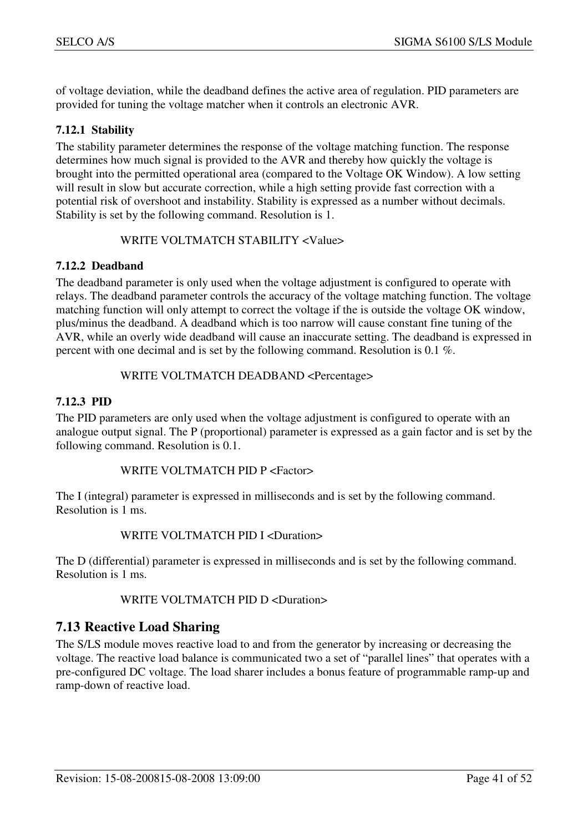of voltage deviation, while the deadband defines the active area of regulation. PID parameters are provided for tuning the voltage matcher when it controls an electronic AVR.

#### **7.12.1 Stability**

The stability parameter determines the response of the voltage matching function. The response determines how much signal is provided to the AVR and thereby how quickly the voltage is brought into the permitted operational area (compared to the Voltage OK Window). A low setting will result in slow but accurate correction, while a high setting provide fast correction with a potential risk of overshoot and instability. Stability is expressed as a number without decimals. Stability is set by the following command. Resolution is 1.

#### WRITE VOLTMATCH STABILITY <Value>

#### **7.12.2 Deadband**

The deadband parameter is only used when the voltage adjustment is configured to operate with relays. The deadband parameter controls the accuracy of the voltage matching function. The voltage matching function will only attempt to correct the voltage if the is outside the voltage OK window, plus/minus the deadband. A deadband which is too narrow will cause constant fine tuning of the AVR, while an overly wide deadband will cause an inaccurate setting. The deadband is expressed in percent with one decimal and is set by the following command. Resolution is 0.1 %.

#### WRITE VOLTMATCH DEADBAND <Percentage>

#### **7.12.3 PID**

The PID parameters are only used when the voltage adjustment is configured to operate with an analogue output signal. The P (proportional) parameter is expressed as a gain factor and is set by the following command. Resolution is 0.1.

WRITE VOLTMATCH PID P <Factor>

The I (integral) parameter is expressed in milliseconds and is set by the following command. Resolution is 1 ms.

#### WRITE VOLTMATCH PID I <Duration>

The D (differential) parameter is expressed in milliseconds and is set by the following command. Resolution is 1 ms.

#### WRITE VOLTMATCH PID D<Duration>

## **7.13 Reactive Load Sharing**

The S/LS module moves reactive load to and from the generator by increasing or decreasing the voltage. The reactive load balance is communicated two a set of "parallel lines" that operates with a pre-configured DC voltage. The load sharer includes a bonus feature of programmable ramp-up and ramp-down of reactive load.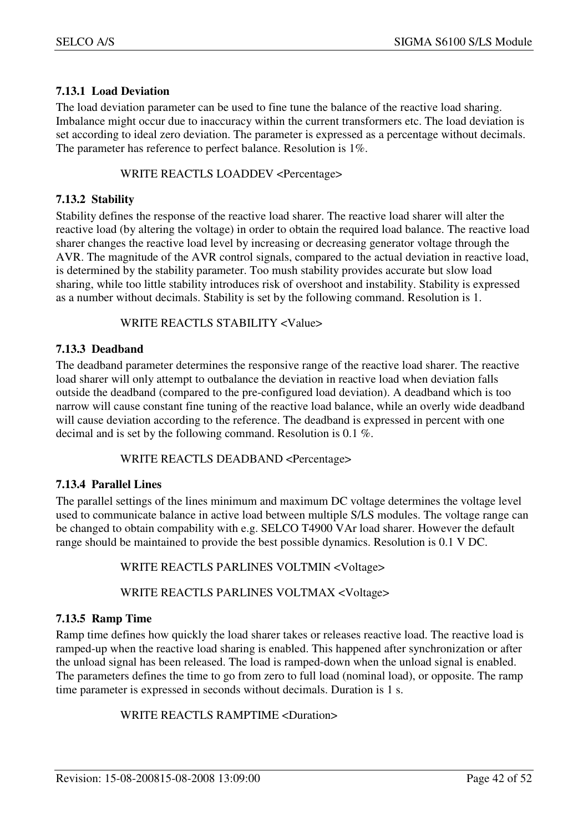#### **7.13.1 Load Deviation**

The load deviation parameter can be used to fine tune the balance of the reactive load sharing. Imbalance might occur due to inaccuracy within the current transformers etc. The load deviation is set according to ideal zero deviation. The parameter is expressed as a percentage without decimals. The parameter has reference to perfect balance. Resolution is 1%.

#### WRITE REACTLS LOADDEV <Percentage>

#### **7.13.2 Stability**

Stability defines the response of the reactive load sharer. The reactive load sharer will alter the reactive load (by altering the voltage) in order to obtain the required load balance. The reactive load sharer changes the reactive load level by increasing or decreasing generator voltage through the AVR. The magnitude of the AVR control signals, compared to the actual deviation in reactive load, is determined by the stability parameter. Too mush stability provides accurate but slow load sharing, while too little stability introduces risk of overshoot and instability. Stability is expressed as a number without decimals. Stability is set by the following command. Resolution is 1.

#### WRITE REACTLS STABILITY <Value>

#### **7.13.3 Deadband**

The deadband parameter determines the responsive range of the reactive load sharer. The reactive load sharer will only attempt to outbalance the deviation in reactive load when deviation falls outside the deadband (compared to the pre-configured load deviation). A deadband which is too narrow will cause constant fine tuning of the reactive load balance, while an overly wide deadband will cause deviation according to the reference. The deadband is expressed in percent with one decimal and is set by the following command. Resolution is 0.1 %.

#### WRITE REACTLS DEADBAND <Percentage>

#### **7.13.4 Parallel Lines**

The parallel settings of the lines minimum and maximum DC voltage determines the voltage level used to communicate balance in active load between multiple S/LS modules. The voltage range can be changed to obtain compability with e.g. SELCO T4900 VAr load sharer. However the default range should be maintained to provide the best possible dynamics. Resolution is 0.1 V DC.

#### WRITE REACTLS PARLINES VOLTMIN <Voltage>

#### WRITE REACTLS PARLINES VOLTMAX <Voltage>

#### **7.13.5 Ramp Time**

Ramp time defines how quickly the load sharer takes or releases reactive load. The reactive load is ramped-up when the reactive load sharing is enabled. This happened after synchronization or after the unload signal has been released. The load is ramped-down when the unload signal is enabled. The parameters defines the time to go from zero to full load (nominal load), or opposite. The ramp time parameter is expressed in seconds without decimals. Duration is 1 s.

WRITE REACTLS RAMPTIME <Duration>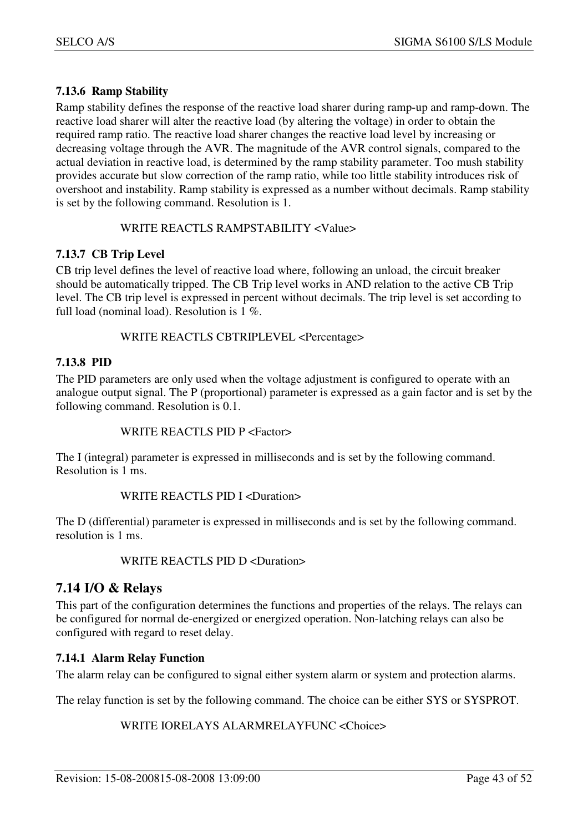#### **7.13.6 Ramp Stability**

Ramp stability defines the response of the reactive load sharer during ramp-up and ramp-down. The reactive load sharer will alter the reactive load (by altering the voltage) in order to obtain the required ramp ratio. The reactive load sharer changes the reactive load level by increasing or decreasing voltage through the AVR. The magnitude of the AVR control signals, compared to the actual deviation in reactive load, is determined by the ramp stability parameter. Too mush stability provides accurate but slow correction of the ramp ratio, while too little stability introduces risk of overshoot and instability. Ramp stability is expressed as a number without decimals. Ramp stability is set by the following command. Resolution is 1.

#### WRITE REACTLS RAMPSTABILITY <Value>

#### **7.13.7 CB Trip Level**

CB trip level defines the level of reactive load where, following an unload, the circuit breaker should be automatically tripped. The CB Trip level works in AND relation to the active CB Trip level. The CB trip level is expressed in percent without decimals. The trip level is set according to full load (nominal load). Resolution is 1 %.

#### WRITE REACTLS CBTRIPLEVEL <Percentage>

#### **7.13.8 PID**

The PID parameters are only used when the voltage adjustment is configured to operate with an analogue output signal. The P (proportional) parameter is expressed as a gain factor and is set by the following command. Resolution is 0.1.

#### WRITE REACTLS PID P <Factor>

The I (integral) parameter is expressed in milliseconds and is set by the following command. Resolution is 1 ms.

#### WRITE REACTLS PID I <Duration>

The D (differential) parameter is expressed in milliseconds and is set by the following command. resolution is 1 ms.

#### WRITE REACTLS PID D <Duration>

## **7.14 I/O & Relays**

This part of the configuration determines the functions and properties of the relays. The relays can be configured for normal de-energized or energized operation. Non-latching relays can also be configured with regard to reset delay.

#### **7.14.1 Alarm Relay Function**

The alarm relay can be configured to signal either system alarm or system and protection alarms.

The relay function is set by the following command. The choice can be either SYS or SYSPROT.

#### WRITE IORELAYS ALARMRELAYFUNC <Choice>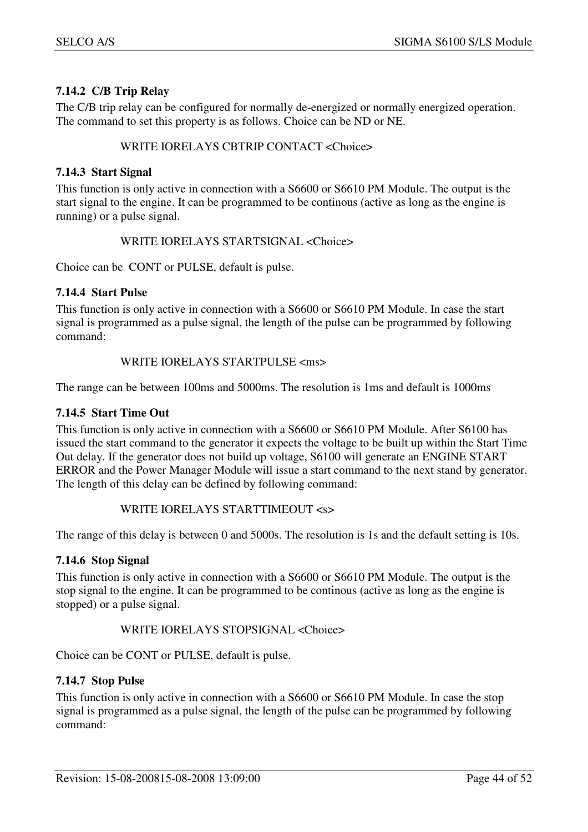### **7.14.2 C/B Trip Relay**

The C/B trip relay can be configured for normally de-energized or normally energized operation. The command to set this property is as follows. Choice can be ND or NE.

#### WRITE IORELAYS CBTRIP CONTACT <Choice>

#### **7.14.3 Start Signal**

This function is only active in connection with a S6600 or S6610 PM Module. The output is the start signal to the engine. It can be programmed to be continous (active as long as the engine is running) or a pulse signal.

#### WRITE IORELAYS STARTSIGNAL <Choice>

Choice can be CONT or PULSE, default is pulse.

#### **7.14.4 Start Pulse**

This function is only active in connection with a S6600 or S6610 PM Module. In case the start signal is programmed as a pulse signal, the length of the pulse can be programmed by following command:

#### WRITE IORELAYS STARTPULSE <ms>

The range can be between 100ms and 5000ms. The resolution is 1ms and default is 1000ms

#### **7.14.5 Start Time Out**

This function is only active in connection with a S6600 or S6610 PM Module. After S6100 has issued the start command to the generator it expects the voltage to be built up within the Start Time Out delay. If the generator does not build up voltage, S6100 will generate an ENGINE START ERROR and the Power Manager Module will issue a start command to the next stand by generator. The length of this delay can be defined by following command:

#### WRITE IORELAYS STARTTIMEOUT <s>

The range of this delay is between 0 and 5000s. The resolution is 1s and the default setting is 10s.

#### **7.14.6 Stop Signal**

This function is only active in connection with a S6600 or S6610 PM Module. The output is the stop signal to the engine. It can be programmed to be continous (active as long as the engine is stopped) or a pulse signal.

#### WRITE IORELAYS STOPSIGNAL <Choice>

Choice can be CONT or PULSE, default is pulse.

#### **7.14.7 Stop Pulse**

This function is only active in connection with a S6600 or S6610 PM Module. In case the stop signal is programmed as a pulse signal, the length of the pulse can be programmed by following command: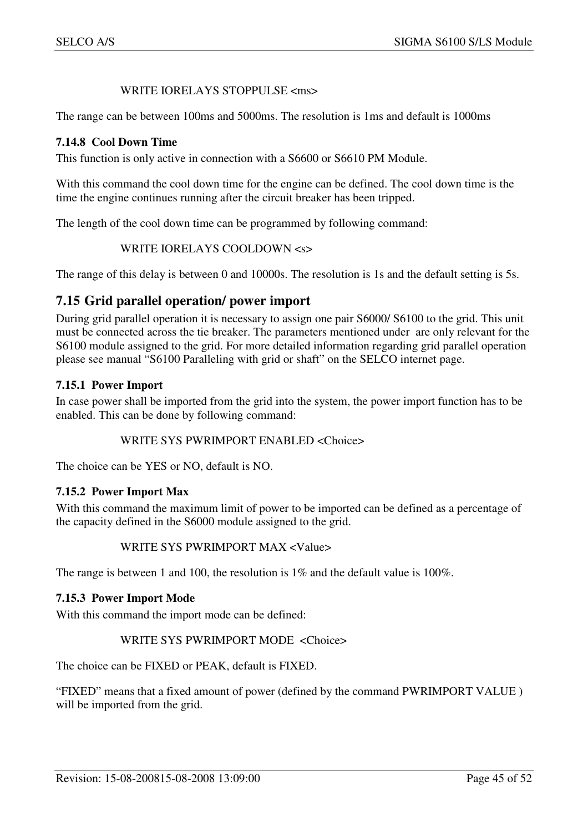#### WRITE IORELAYS STOPPULSE <ms>

The range can be between 100ms and 5000ms. The resolution is 1ms and default is 1000ms

#### **7.14.8 Cool Down Time**

This function is only active in connection with a S6600 or S6610 PM Module.

With this command the cool down time for the engine can be defined. The cool down time is the time the engine continues running after the circuit breaker has been tripped.

The length of the cool down time can be programmed by following command:

WRITE IORELAYS COOLDOWN <s>

The range of this delay is between 0 and 10000s. The resolution is 1s and the default setting is 5s.

## **7.15 Grid parallel operation/ power import**

During grid parallel operation it is necessary to assign one pair S6000/ S6100 to the grid. This unit must be connected across the tie breaker. The parameters mentioned under are only relevant for the S6100 module assigned to the grid. For more detailed information regarding grid parallel operation please see manual "S6100 Paralleling with grid or shaft" on the SELCO internet page.

#### **7.15.1 Power Import**

In case power shall be imported from the grid into the system, the power import function has to be enabled. This can be done by following command:

#### WRITE SYS PWRIMPORT ENABLED <Choice>

The choice can be YES or NO, default is NO.

#### **7.15.2 Power Import Max**

With this command the maximum limit of power to be imported can be defined as a percentage of the capacity defined in the S6000 module assigned to the grid.

#### WRITE SYS PWRIMPORT MAX <Value>

The range is between 1 and 100, the resolution is 1% and the default value is 100%.

#### **7.15.3 Power Import Mode**

With this command the import mode can be defined:

#### WRITE SYS PWRIMPORT MODE <Choice>

The choice can be FIXED or PEAK, default is FIXED.

"FIXED" means that a fixed amount of power (defined by the command PWRIMPORT VALUE ) will be imported from the grid.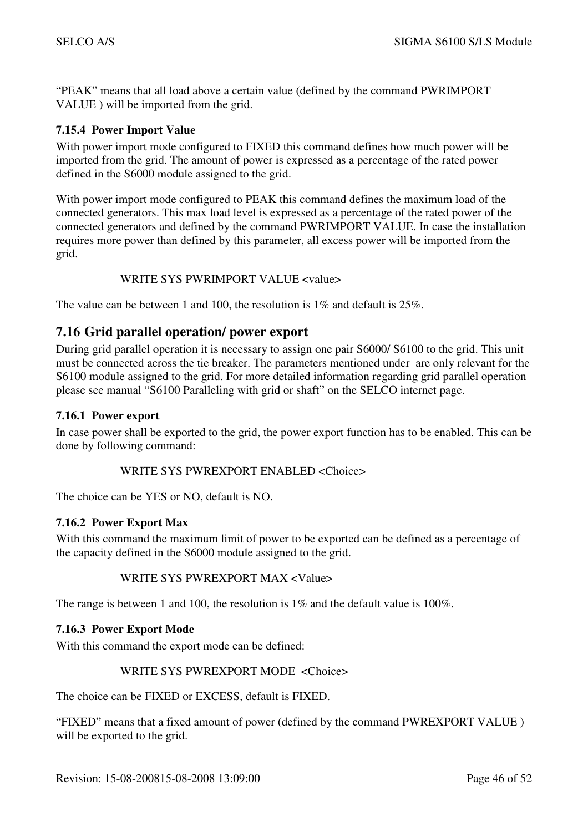"PEAK" means that all load above a certain value (defined by the command PWRIMPORT VALUE ) will be imported from the grid.

#### **7.15.4 Power Import Value**

With power import mode configured to FIXED this command defines how much power will be imported from the grid. The amount of power is expressed as a percentage of the rated power defined in the S6000 module assigned to the grid.

With power import mode configured to PEAK this command defines the maximum load of the connected generators. This max load level is expressed as a percentage of the rated power of the connected generators and defined by the command PWRIMPORT VALUE. In case the installation requires more power than defined by this parameter, all excess power will be imported from the grid.

#### WRITE SYS PWRIMPORT VALUE <value>

The value can be between 1 and 100, the resolution is 1% and default is 25%.

## **7.16 Grid parallel operation/ power export**

During grid parallel operation it is necessary to assign one pair S6000/ S6100 to the grid. This unit must be connected across the tie breaker. The parameters mentioned under are only relevant for the S6100 module assigned to the grid. For more detailed information regarding grid parallel operation please see manual "S6100 Paralleling with grid or shaft" on the SELCO internet page.

#### **7.16.1 Power export**

In case power shall be exported to the grid, the power export function has to be enabled. This can be done by following command:

#### WRITE SYS PWREXPORT ENABLED <Choice>

The choice can be YES or NO, default is NO.

#### **7.16.2 Power Export Max**

With this command the maximum limit of power to be exported can be defined as a percentage of the capacity defined in the S6000 module assigned to the grid.

#### WRITE SYS PWREXPORT MAX <Value>

The range is between 1 and 100, the resolution is 1% and the default value is 100%.

#### **7.16.3 Power Export Mode**

With this command the export mode can be defined:

#### WRITE SYS PWREXPORT MODE <Choice>

The choice can be FIXED or EXCESS, default is FIXED.

"FIXED" means that a fixed amount of power (defined by the command PWREXPORT VALUE ) will be exported to the grid.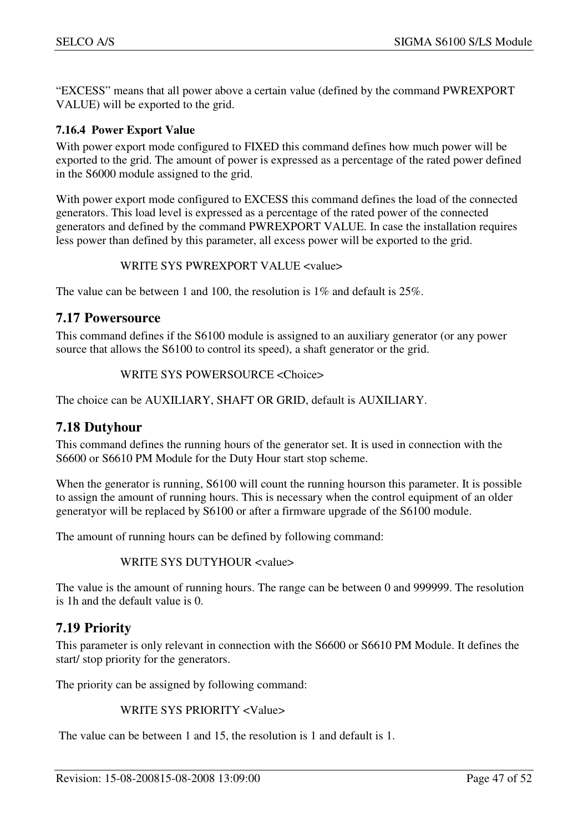"EXCESS" means that all power above a certain value (defined by the command PWREXPORT VALUE) will be exported to the grid.

#### **7.16.4 Power Export Value**

With power export mode configured to FIXED this command defines how much power will be exported to the grid. The amount of power is expressed as a percentage of the rated power defined in the S6000 module assigned to the grid.

With power export mode configured to EXCESS this command defines the load of the connected generators. This load level is expressed as a percentage of the rated power of the connected generators and defined by the command PWREXPORT VALUE. In case the installation requires less power than defined by this parameter, all excess power will be exported to the grid.

#### WRITE SYS PWREXPORT VALUE <value>

The value can be between 1 and 100, the resolution is 1% and default is 25%.

#### **7.17 Powersource**

This command defines if the S6100 module is assigned to an auxiliary generator (or any power source that allows the S6100 to control its speed), a shaft generator or the grid.

```
 WRITE SYS POWERSOURCE <Choice>
```
The choice can be AUXILIARY, SHAFT OR GRID, default is AUXILIARY.

## **7.18 Dutyhour**

This command defines the running hours of the generator set. It is used in connection with the S6600 or S6610 PM Module for the Duty Hour start stop scheme.

When the generator is running,  $S6100$  will count the running hourson this parameter. It is possible to assign the amount of running hours. This is necessary when the control equipment of an older generatyor will be replaced by S6100 or after a firmware upgrade of the S6100 module.

The amount of running hours can be defined by following command:

WRITE SYS DUTYHOUR <value>

The value is the amount of running hours. The range can be between 0 and 999999. The resolution is 1h and the default value is 0.

## **7.19 Priority**

This parameter is only relevant in connection with the S6600 or S6610 PM Module. It defines the start/ stop priority for the generators.

The priority can be assigned by following command:

#### WRITE SYS PRIORITY <Value>

The value can be between 1 and 15, the resolution is 1 and default is 1.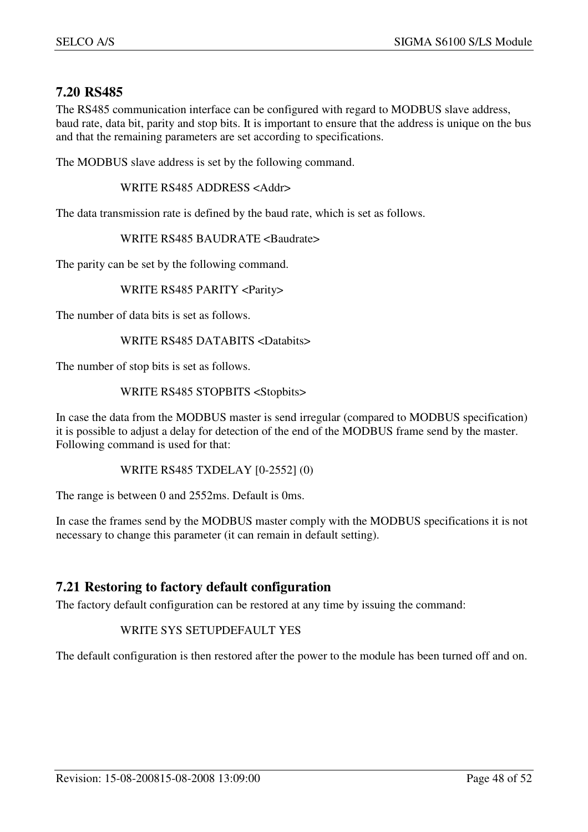## **7.20 RS485**

The RS485 communication interface can be configured with regard to MODBUS slave address, baud rate, data bit, parity and stop bits. It is important to ensure that the address is unique on the bus and that the remaining parameters are set according to specifications.

The MODBUS slave address is set by the following command.

WRITE RS485 ADDRESS <Addr>

The data transmission rate is defined by the baud rate, which is set as follows.

#### WRITE RS485 BAUDRATE <Baudrate>

The parity can be set by the following command.

#### WRITE RS485 PARITY <Parity>

The number of data bits is set as follows.

#### WRITE RS485 DATABITS <Databits>

The number of stop bits is set as follows.

#### WRITE RS485 STOPBITS <Stopbits>

In case the data from the MODBUS master is send irregular (compared to MODBUS specification) it is possible to adjust a delay for detection of the end of the MODBUS frame send by the master. Following command is used for that:

#### WRITE RS485 TXDELAY [0-2552] (0)

The range is between 0 and 2552ms. Default is 0ms.

In case the frames send by the MODBUS master comply with the MODBUS specifications it is not necessary to change this parameter (it can remain in default setting).

#### **7.21 Restoring to factory default configuration**

The factory default configuration can be restored at any time by issuing the command:

#### WRITE SYS SETUPDEFAULT YES

The default configuration is then restored after the power to the module has been turned off and on.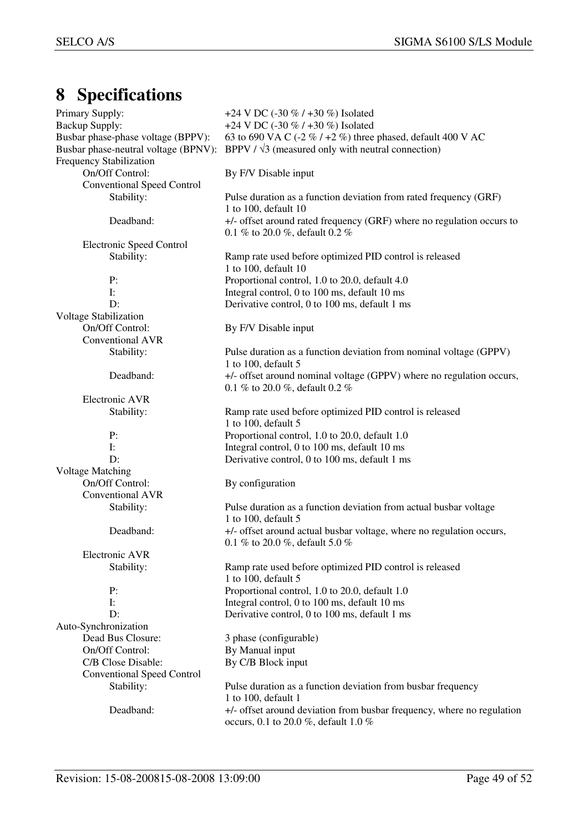## **8 Specifications**

| Primary Supply:                    | +24 V DC (-30 % / +30 %) Isolated                                                              |
|------------------------------------|------------------------------------------------------------------------------------------------|
| <b>Backup Supply:</b>              | +24 V DC (-30 % / +30 %) Isolated                                                              |
| Busbar phase-phase voltage (BPPV): | 63 to 690 VA C (-2 % / +2 %) three phased, default 400 V AC                                    |
|                                    | Busbar phase-neutral voltage (BPNV): BPPV / $\sqrt{3}$ (measured only with neutral connection) |
| <b>Frequency Stabilization</b>     |                                                                                                |
| On/Off Control:                    | By F/V Disable input                                                                           |
| <b>Conventional Speed Control</b>  |                                                                                                |
| Stability:                         | Pulse duration as a function deviation from rated frequency (GRF)                              |
|                                    | 1 to 100, default 10                                                                           |
| Deadband:                          | +/- offset around rated frequency (GRF) where no regulation occurs to                          |
|                                    | 0.1 % to 20.0 %, default 0.2 %                                                                 |
| <b>Electronic Speed Control</b>    |                                                                                                |
| Stability:                         | Ramp rate used before optimized PID control is released                                        |
|                                    | 1 to 100, default 10                                                                           |
| P:                                 | Proportional control, 1.0 to 20.0, default 4.0                                                 |
| $\mathbf{I}$ :                     | Integral control, 0 to 100 ms, default 10 ms                                                   |
| D:                                 | Derivative control, 0 to 100 ms, default 1 ms                                                  |
| <b>Voltage Stabilization</b>       |                                                                                                |
| On/Off Control:                    | By F/V Disable input                                                                           |
| Conventional AVR                   |                                                                                                |
| Stability:                         | Pulse duration as a function deviation from nominal voltage (GPPV)                             |
|                                    | 1 to 100, default 5                                                                            |
| Deadband:                          | +/- offset around nominal voltage (GPPV) where no regulation occurs,                           |
|                                    |                                                                                                |
| <b>Electronic AVR</b>              | 0.1 % to 20.0 %, default 0.2 %                                                                 |
|                                    |                                                                                                |
| Stability:                         | Ramp rate used before optimized PID control is released<br>1 to 100, default 5                 |
| P:                                 | Proportional control, 1.0 to 20.0, default 1.0                                                 |
| $\mathbf{I}$ :                     | Integral control, 0 to 100 ms, default 10 ms                                                   |
| D:                                 |                                                                                                |
|                                    | Derivative control, 0 to 100 ms, default 1 ms                                                  |
| <b>Voltage Matching</b>            |                                                                                                |
| On/Off Control:                    | By configuration                                                                               |
| Conventional AVR                   |                                                                                                |
| Stability:                         | Pulse duration as a function deviation from actual busbar voltage<br>1 to 100, default 5       |
| Deadband:                          |                                                                                                |
|                                    | +/- offset around actual busbar voltage, where no regulation occurs,                           |
| Electronic AVR                     | 0.1 % to 20.0 %, default 5.0 %                                                                 |
|                                    |                                                                                                |
| Stability:                         | Ramp rate used before optimized PID control is released                                        |
|                                    | 1 to 100, default 5                                                                            |
| P:                                 | Proportional control, 1.0 to 20.0, default 1.0                                                 |
| $\mathbf{I}$ :                     | Integral control, 0 to 100 ms, default 10 ms                                                   |
| D:                                 | Derivative control, 0 to 100 ms, default 1 ms                                                  |
| Auto-Synchronization               |                                                                                                |
| Dead Bus Closure:                  | 3 phase (configurable)                                                                         |
| On/Off Control:                    | By Manual input                                                                                |
| C/B Close Disable:                 | By C/B Block input                                                                             |
| <b>Conventional Speed Control</b>  |                                                                                                |
| Stability:                         | Pulse duration as a function deviation from busbar frequency<br>1 to 100, default 1            |
| Deadband:                          | +/- offset around deviation from busbar frequency, where no regulation                         |
|                                    | occurs, 0.1 to 20.0 %, default 1.0 %                                                           |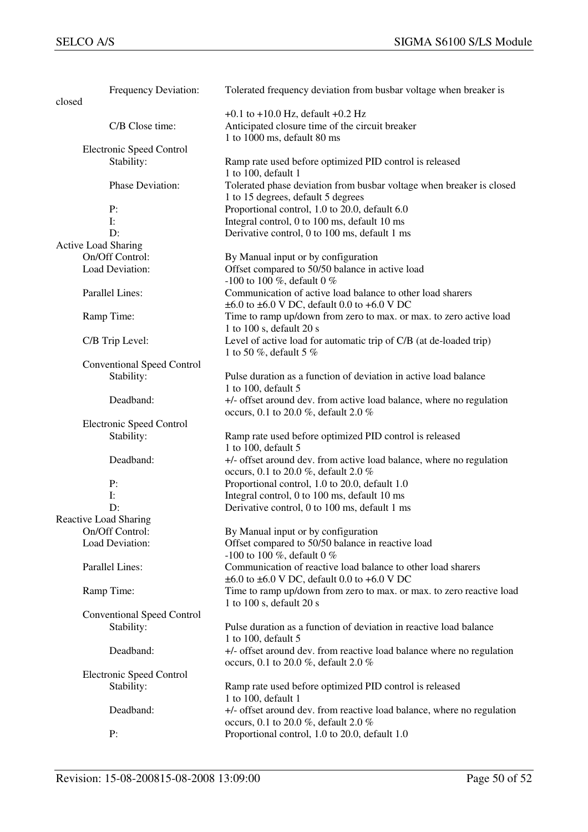| closed                     | Frequency Deviation:              | Tolerated frequency deviation from busbar voltage when breaker is                                                                    |
|----------------------------|-----------------------------------|--------------------------------------------------------------------------------------------------------------------------------------|
|                            |                                   | $+0.1$ to $+10.0$ Hz, default $+0.2$ Hz                                                                                              |
|                            | C/B Close time:                   | Anticipated closure time of the circuit breaker<br>1 to 1000 ms, default 80 ms                                                       |
|                            | <b>Electronic Speed Control</b>   |                                                                                                                                      |
|                            | Stability:                        | Ramp rate used before optimized PID control is released<br>1 to 100, default 1                                                       |
|                            | Phase Deviation:                  | Tolerated phase deviation from busbar voltage when breaker is closed<br>1 to 15 degrees, default 5 degrees                           |
|                            | P:                                | Proportional control, 1.0 to 20.0, default 6.0                                                                                       |
|                            | $\mathbf{I}$ :                    | Integral control, 0 to 100 ms, default 10 ms                                                                                         |
|                            | D:                                | Derivative control, 0 to 100 ms, default 1 ms                                                                                        |
| <b>Active Load Sharing</b> |                                   |                                                                                                                                      |
|                            | On/Off Control:                   | By Manual input or by configuration                                                                                                  |
|                            | Load Deviation:                   | Offset compared to 50/50 balance in active load                                                                                      |
|                            |                                   | -100 to 100 %, default 0 %                                                                                                           |
|                            | Parallel Lines:                   | Communication of active load balance to other load sharers<br>$\pm 6.0$ to $\pm 6.0$ V DC, default 0.0 to $+6.0$ V DC                |
|                            | Ramp Time:                        | Time to ramp up/down from zero to max. or max. to zero active load<br>1 to 100 s, default 20 s                                       |
|                            | C/B Trip Level:                   | Level of active load for automatic trip of C/B (at de-loaded trip)                                                                   |
|                            |                                   | 1 to 50 %, default 5 %                                                                                                               |
|                            | <b>Conventional Speed Control</b> |                                                                                                                                      |
|                            | Stability:                        | Pulse duration as a function of deviation in active load balance<br>1 to 100, default 5                                              |
|                            | Deadband:                         | +/- offset around dev. from active load balance, where no regulation<br>occurs, 0.1 to 20.0 %, default 2.0 %                         |
|                            | <b>Electronic Speed Control</b>   |                                                                                                                                      |
|                            | Stability:                        | Ramp rate used before optimized PID control is released<br>1 to 100, default 5                                                       |
|                            | Deadband:                         | +/- offset around dev. from active load balance, where no regulation<br>occurs, 0.1 to 20.0 %, default 2.0 %                         |
|                            | P:                                | Proportional control, 1.0 to 20.0, default 1.0                                                                                       |
|                            | $\mathbf{I}$ :                    | Integral control, 0 to 100 ms, default 10 ms                                                                                         |
|                            | D:                                | Derivative control, 0 to 100 ms, default 1 ms                                                                                        |
|                            | Reactive Load Sharing             |                                                                                                                                      |
|                            | On/Off Control:                   | By Manual input or by configuration                                                                                                  |
|                            | Load Deviation:                   | Offset compared to 50/50 balance in reactive load<br>-100 to 100 %, default 0 %                                                      |
|                            | Parallel Lines:                   | Communication of reactive load balance to other load sharers<br>$\pm 6.0$ to $\pm 6.0$ V DC, default 0.0 to $+6.0$ V DC              |
|                            | Ramp Time:                        | Time to ramp up/down from zero to max. or max. to zero reactive load<br>1 to 100 s, default 20 s                                     |
|                            | <b>Conventional Speed Control</b> |                                                                                                                                      |
|                            | Stability:                        | Pulse duration as a function of deviation in reactive load balance                                                                   |
|                            | Deadband:                         | 1 to 100, default 5<br>+/- offset around dev. from reactive load balance where no regulation<br>occurs, 0.1 to 20.0 %, default 2.0 % |
|                            | <b>Electronic Speed Control</b>   |                                                                                                                                      |
|                            | Stability:                        | Ramp rate used before optimized PID control is released<br>1 to 100, default 1                                                       |
|                            | Deadband:                         | +/- offset around dev. from reactive load balance, where no regulation<br>occurs, 0.1 to 20.0 %, default 2.0 %                       |
|                            | P:                                | Proportional control, 1.0 to 20.0, default 1.0                                                                                       |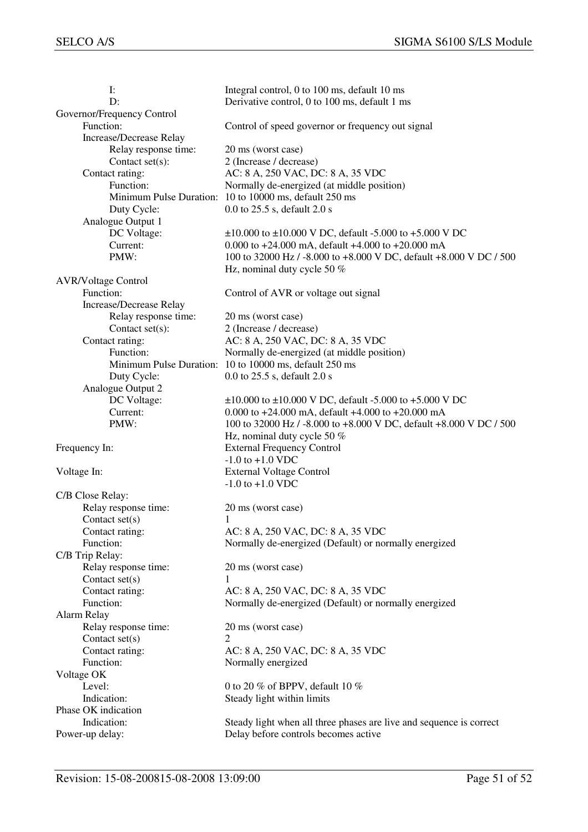| I:                                      | Integral control, 0 to 100 ms, default 10 ms                        |
|-----------------------------------------|---------------------------------------------------------------------|
| D:                                      | Derivative control, 0 to 100 ms, default 1 ms                       |
| Governor/Frequency Control              |                                                                     |
| Function:                               | Control of speed governor or frequency out signal                   |
| <b>Increase/Decrease Relay</b>          |                                                                     |
| Relay response time:                    | 20 ms (worst case)                                                  |
| Contact $set(s)$ :                      | 2 (Increase / decrease)                                             |
| Contact rating:                         | AC: 8 A, 250 VAC, DC: 8 A, 35 VDC                                   |
| Function:                               | Normally de-energized (at middle position)                          |
|                                         | Minimum Pulse Duration: 10 to 10000 ms, default 250 ms              |
| Duty Cycle:                             | 0.0 to 25.5 s, default 2.0 s                                        |
| Analogue Output 1                       |                                                                     |
| DC Voltage:                             | $\pm 10.000$ to $\pm 10.000$ V DC, default -5.000 to +5.000 V DC    |
| Current:                                | 0.000 to $+24.000$ mA, default $+4.000$ to $+20.000$ mA             |
| PMW:                                    | 100 to 32000 Hz / -8.000 to +8.000 V DC, default +8.000 V DC / 500  |
|                                         | Hz, nominal duty cycle 50 %                                         |
|                                         |                                                                     |
| <b>AVR/Voltage Control</b><br>Function: |                                                                     |
| <b>Increase/Decrease Relay</b>          | Control of AVR or voltage out signal                                |
|                                         |                                                                     |
| Relay response time:                    | 20 ms (worst case)                                                  |
| Contact set(s):                         | 2 (Increase / decrease)                                             |
| Contact rating:                         | AC: 8 A, 250 VAC, DC: 8 A, 35 VDC                                   |
| Function:                               | Normally de-energized (at middle position)                          |
|                                         | Minimum Pulse Duration: 10 to 10000 ms, default 250 ms              |
| Duty Cycle:                             | 0.0 to 25.5 s, default 2.0 s                                        |
| Analogue Output 2                       |                                                                     |
| DC Voltage:                             | $\pm 10.000$ to $\pm 10.000$ V DC, default -5.000 to +5.000 V DC    |
| Current:                                | 0.000 to $+24.000$ mA, default $+4.000$ to $+20.000$ mA             |
| PMW:                                    | 100 to 32000 Hz / -8.000 to +8.000 V DC, default +8.000 V DC / 500  |
|                                         | Hz, nominal duty cycle 50 %                                         |
| Frequency In:                           | <b>External Frequency Control</b>                                   |
|                                         | $-1.0$ to $+1.0$ VDC                                                |
| Voltage In:                             | <b>External Voltage Control</b>                                     |
|                                         | $-1.0$ to $+1.0$ VDC                                                |
| C/B Close Relay:                        |                                                                     |
| Relay response time:                    | 20 ms (worst case)                                                  |
| Contact $set(s)$                        | 1                                                                   |
| Contact rating:                         | AC: 8 A, 250 VAC, DC: 8 A, 35 VDC                                   |
| Function:                               | Normally de-energized (Default) or normally energized               |
| C/B Trip Relay:                         |                                                                     |
| Relay response time:                    | 20 ms (worst case)                                                  |
| Contact set(s)                          |                                                                     |
| Contact rating:                         | AC: 8 A, 250 VAC, DC: 8 A, 35 VDC                                   |
| Function:                               | Normally de-energized (Default) or normally energized               |
| Alarm Relay                             |                                                                     |
| Relay response time:                    | 20 ms (worst case)                                                  |
| Contact $set(s)$                        | 2                                                                   |
| Contact rating:                         | AC: 8 A, 250 VAC, DC: 8 A, 35 VDC                                   |
| Function:                               | Normally energized                                                  |
| Voltage OK                              |                                                                     |
| Level:                                  | 0 to 20 % of BPPV, default 10 %                                     |
| Indication:                             | Steady light within limits                                          |
| Phase OK indication                     |                                                                     |
| Indication:                             | Steady light when all three phases are live and sequence is correct |
| Power-up delay:                         | Delay before controls becomes active                                |